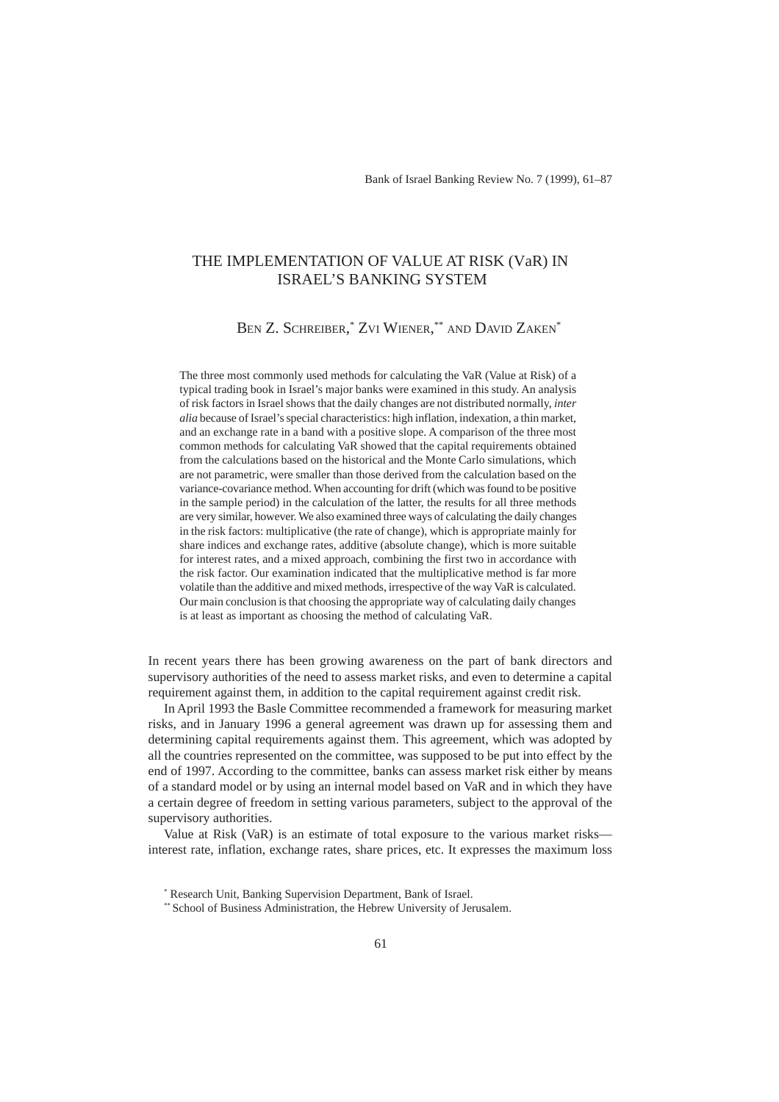# THE IMPLEMENTATION OF VALUE AT RISK (VaR) IN ISRAEL'S BANKING SYSTEM

# Ben Z. Schreiber,\* Zvi Wiener,\*\* and David Zaken\*

The three most commonly used methods for calculating the VaR (Value at Risk) of a typical trading book in Israel's major banks were examined in this study. An analysis of risk factors in Israel shows that the daily changes are not distributed normally, *inter alia* because of Israel's special characteristics: high inflation, indexation, a thin market, and an exchange rate in a band with a positive slope. A comparison of the three most common methods for calculating VaR showed that the capital requirements obtained from the calculations based on the historical and the Monte Carlo simulations, which are not parametric, were smaller than those derived from the calculation based on the variance-covariance method. When accounting for drift (which was found to be positive in the sample period) in the calculation of the latter, the results for all three methods are very similar, however. We also examined three ways of calculating the daily changes in the risk factors: multiplicative (the rate of change), which is appropriate mainly for share indices and exchange rates, additive (absolute change), which is more suitable for interest rates, and a mixed approach, combining the first two in accordance with the risk factor. Our examination indicated that the multiplicative method is far more volatile than the additive and mixed methods, irrespective of the way VaR is calculated. Our main conclusion is that choosing the appropriate way of calculating daily changes is at least as important as choosing the method of calculating VaR.

In recent years there has been growing awareness on the part of bank directors and supervisory authorities of the need to assess market risks, and even to determine a capital requirement against them, in addition to the capital requirement against credit risk.

In April 1993 the Basle Committee recommended a framework for measuring market risks, and in January 1996 a general agreement was drawn up for assessing them and determining capital requirements against them. This agreement, which was adopted by all the countries represented on the committee, was supposed to be put into effect by the end of 1997. According to the committee, banks can assess market risk either by means of a standard model or by using an internal model based on VaR and in which they have a certain degree of freedom in setting various parameters, subject to the approval of the supervisory authorities.

Value at Risk (VaR) is an estimate of total exposure to the various market risks interest rate, inflation, exchange rates, share prices, etc. It expresses the maximum loss

<sup>\*</sup> Research Unit, Banking Supervision Department, Bank of Israel.

<sup>\*\*</sup> School of Business Administration, the Hebrew University of Jerusalem.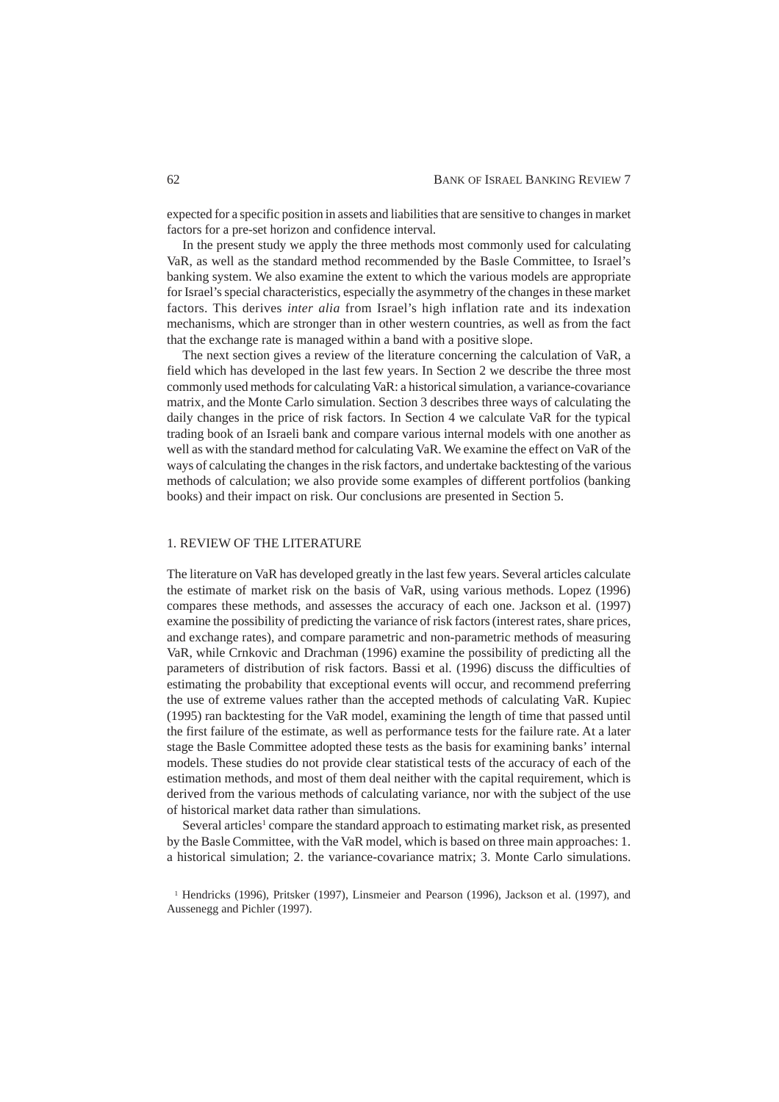expected for a specific position in assets and liabilities that are sensitive to changes in market factors for a pre-set horizon and confidence interval.

In the present study we apply the three methods most commonly used for calculating VaR, as well as the standard method recommended by the Basle Committee, to Israel's banking system. We also examine the extent to which the various models are appropriate for Israel's special characteristics, especially the asymmetry of the changes in these market factors. This derives *inter alia* from Israel's high inflation rate and its indexation mechanisms, which are stronger than in other western countries, as well as from the fact that the exchange rate is managed within a band with a positive slope.

The next section gives a review of the literature concerning the calculation of VaR, a field which has developed in the last few years. In Section 2 we describe the three most commonly used methods for calculating VaR: a historical simulation, a variance-covariance matrix, and the Monte Carlo simulation. Section 3 describes three ways of calculating the daily changes in the price of risk factors. In Section 4 we calculate VaR for the typical trading book of an Israeli bank and compare various internal models with one another as well as with the standard method for calculating VaR. We examine the effect on VaR of the ways of calculating the changes in the risk factors, and undertake backtesting of the various methods of calculation; we also provide some examples of different portfolios (banking books) and their impact on risk. Our conclusions are presented in Section 5.

## 1. REVIEW OF THE LITERATURE

The literature on VaR has developed greatly in the last few years. Several articles calculate the estimate of market risk on the basis of VaR, using various methods. Lopez (1996) compares these methods, and assesses the accuracy of each one. Jackson et al. (1997) examine the possibility of predicting the variance of risk factors (interest rates, share prices, and exchange rates), and compare parametric and non-parametric methods of measuring VaR, while Crnkovic and Drachman (1996) examine the possibility of predicting all the parameters of distribution of risk factors. Bassi et al. (1996) discuss the difficulties of estimating the probability that exceptional events will occur, and recommend preferring the use of extreme values rather than the accepted methods of calculating VaR. Kupiec (1995) ran backtesting for the VaR model, examining the length of time that passed until the first failure of the estimate, as well as performance tests for the failure rate. At a later stage the Basle Committee adopted these tests as the basis for examining banks' internal models. These studies do not provide clear statistical tests of the accuracy of each of the estimation methods, and most of them deal neither with the capital requirement, which is derived from the various methods of calculating variance, nor with the subject of the use of historical market data rather than simulations.

Several articles<sup>1</sup> compare the standard approach to estimating market risk, as presented by the Basle Committee, with the VaR model, which is based on three main approaches: 1. a historical simulation; 2. the variance-covariance matrix; 3. Monte Carlo simulations.

<sup>1</sup> Hendricks (1996), Pritsker (1997), Linsmeier and Pearson (1996), Jackson et al. (1997), and Aussenegg and Pichler (1997).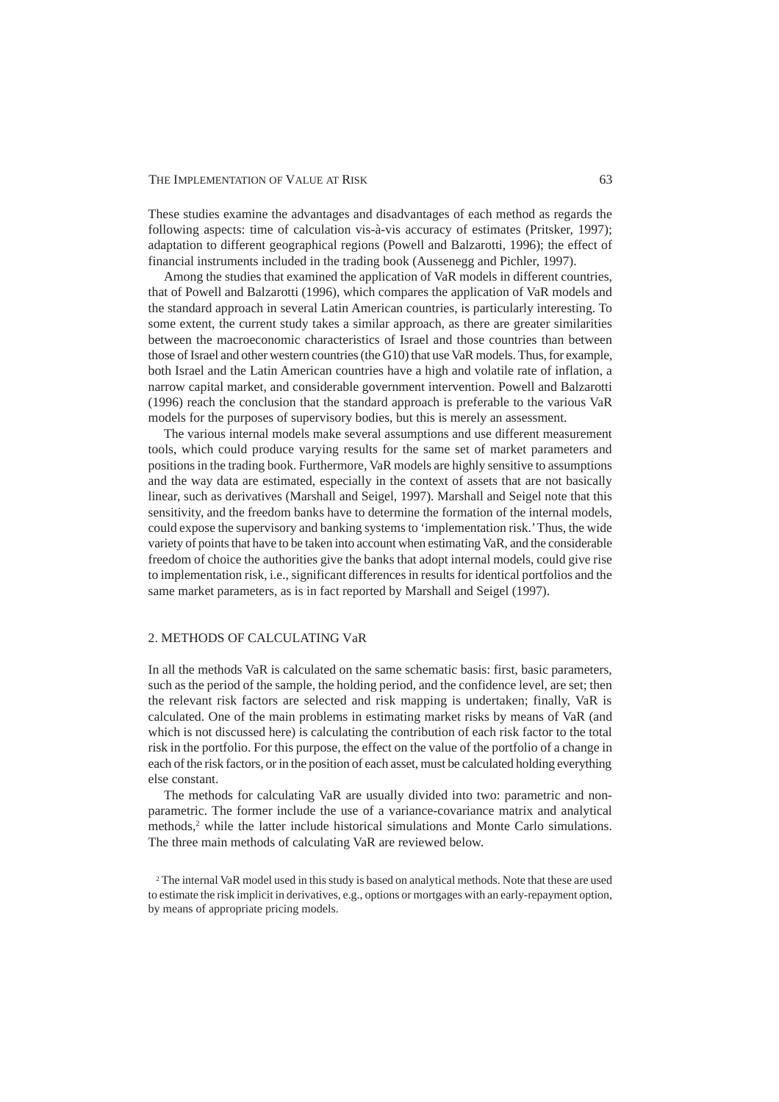These studies examine the advantages and disadvantages of each method as regards the following aspects: time of calculation vis-à-vis accuracy of estimates (Pritsker, 1997); adaptation to different geographical regions (Powell and Balzarotti, 1996); the effect of financial instruments included in the trading book (Aussenegg and Pichler, 1997).

Among the studies that examined the application of VaR models in different countries, that of Powell and Balzarotti (1996), which compares the application of VaR models and the standard approach in several Latin American countries, is particularly interesting. To some extent, the current study takes a similar approach, as there are greater similarities between the macroeconomic characteristics of Israel and those countries than between those of Israel and other western countries (the G10) that use VaR models. Thus, for example, both Israel and the Latin American countries have a high and volatile rate of inflation, a narrow capital market, and considerable government intervention. Powell and Balzarotti (1996) reach the conclusion that the standard approach is preferable to the various VaR models for the purposes of supervisory bodies, but this is merely an assessment.

The various internal models make several assumptions and use different measurement tools, which could produce varying results for the same set of market parameters and positions in the trading book. Furthermore, VaR models are highly sensitive to assumptions and the way data are estimated, especially in the context of assets that are not basically linear, such as derivatives (Marshall and Seigel, 1997). Marshall and Seigel note that this sensitivity, and the freedom banks have to determine the formation of the internal models, could expose the supervisory and banking systems to 'implementation risk.' Thus, the wide variety of points that have to be taken into account when estimating VaR, and the considerable freedom of choice the authorities give the banks that adopt internal models, could give rise to implementation risk, i.e., significant differences in results for identical portfolios and the same market parameters, as is in fact reported by Marshall and Seigel (1997).

# 2. METHODS OF CALCULATING VaR

In all the methods VaR is calculated on the same schematic basis: first, basic parameters, such as the period of the sample, the holding period, and the confidence level, are set; then the relevant risk factors are selected and risk mapping is undertaken; finally, VaR is calculated. One of the main problems in estimating market risks by means of VaR (and which is not discussed here) is calculating the contribution of each risk factor to the total risk in the portfolio. For this purpose, the effect on the value of the portfolio of a change in each of the risk factors, or in the position of each asset, must be calculated holding everything else constant.

The methods for calculating VaR are usually divided into two: parametric and nonparametric. The former include the use of a variance-covariance matrix and analytical methods,<sup>2</sup> while the latter include historical simulations and Monte Carlo simulations. The three main methods of calculating VaR are reviewed below.

<sup>2</sup> The internal VaR model used in this study is based on analytical methods. Note that these are used to estimate the risk implicit in derivatives, e.g., options or mortgages with an early-repayment option, by means of appropriate pricing models.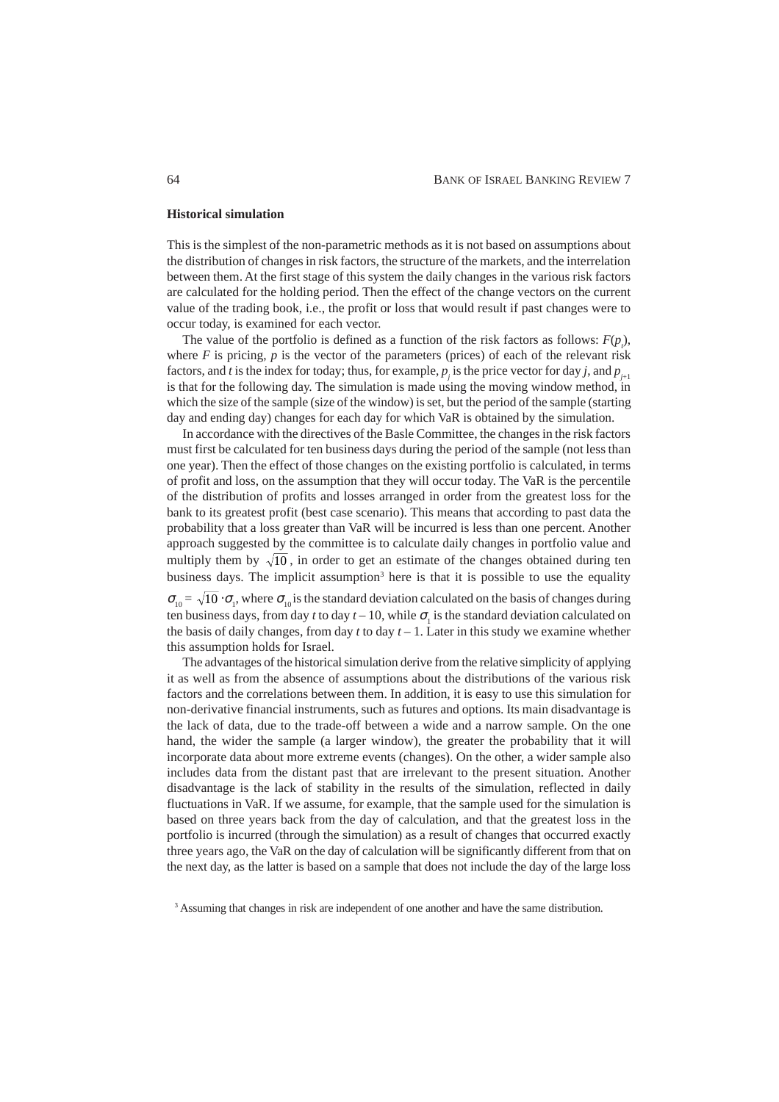#### **Historical simulation**

This is the simplest of the non-parametric methods as it is not based on assumptions about the distribution of changes in risk factors, the structure of the markets, and the interrelation between them. At the first stage of this system the daily changes in the various risk factors are calculated for the holding period. Then the effect of the change vectors on the current value of the trading book, i.e., the profit or loss that would result if past changes were to occur today, is examined for each vector.

The value of the portfolio is defined as a function of the risk factors as follows:  $F(p<sub>i</sub>)$ , where  $F$  is pricing,  $p$  is the vector of the parameters (prices) of each of the relevant risk factors, and *t* is the index for today; thus, for example,  $p_j$  is the price vector for day *j*, and  $p_{j+1}$ is that for the following day. The simulation is made using the moving window method, in which the size of the sample (size of the window) is set, but the period of the sample (starting day and ending day) changes for each day for which VaR is obtained by the simulation.

In accordance with the directives of the Basle Committee, the changes in the risk factors must first be calculated for ten business days during the period of the sample (not less than one year). Then the effect of those changes on the existing portfolio is calculated, in terms of profit and loss, on the assumption that they will occur today. The VaR is the percentile of the distribution of profits and losses arranged in order from the greatest loss for the bank to its greatest profit (best case scenario). This means that according to past data the probability that a loss greater than VaR will be incurred is less than one percent. Another approach suggested by the committee is to calculate daily changes in portfolio value and multiply them by  $\sqrt{10}$ , in order to get an estimate of the changes obtained during ten business days. The implicit assumption<sup>3</sup> here is that it is possible to use the equality

 $\sigma_{10} = \sqrt{10} \cdot \sigma_1$ , where  $\sigma_{10}$  is the standard deviation calculated on the basis of changes during ten business days, from day *t* to day  $t - 10$ , while  $\sigma<sub>1</sub>$  is the standard deviation calculated on the basis of daily changes, from day  $t$  to day  $t-1$ . Later in this study we examine whether this assumption holds for Israel.

The advantages of the historical simulation derive from the relative simplicity of applying it as well as from the absence of assumptions about the distributions of the various risk factors and the correlations between them. In addition, it is easy to use this simulation for non-derivative financial instruments, such as futures and options. Its main disadvantage is the lack of data, due to the trade-off between a wide and a narrow sample. On the one hand, the wider the sample (a larger window), the greater the probability that it will incorporate data about more extreme events (changes). On the other, a wider sample also includes data from the distant past that are irrelevant to the present situation. Another disadvantage is the lack of stability in the results of the simulation, reflected in daily fluctuations in VaR. If we assume, for example, that the sample used for the simulation is based on three years back from the day of calculation, and that the greatest loss in the portfolio is incurred (through the simulation) as a result of changes that occurred exactly three years ago, the VaR on the day of calculation will be significantly different from that on the next day, as the latter is based on a sample that does not include the day of the large loss

<sup>&</sup>lt;sup>3</sup> Assuming that changes in risk are independent of one another and have the same distribution.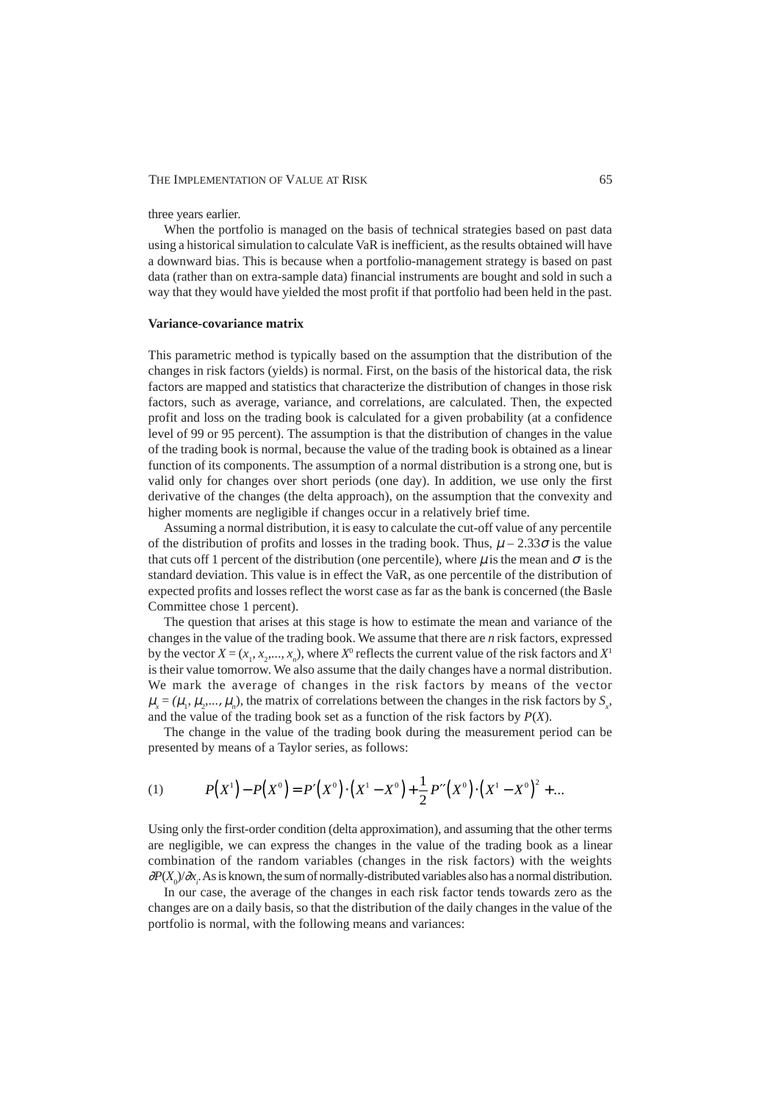three years earlier.

When the portfolio is managed on the basis of technical strategies based on past data using a historical simulation to calculate VaR is inefficient, as the results obtained will have a downward bias. This is because when a portfolio-management strategy is based on past data (rather than on extra-sample data) financial instruments are bought and sold in such a way that they would have yielded the most profit if that portfolio had been held in the past.

# **Variance-covariance matrix**

This parametric method is typically based on the assumption that the distribution of the changes in risk factors (yields) is normal. First, on the basis of the historical data, the risk factors are mapped and statistics that characterize the distribution of changes in those risk factors, such as average, variance, and correlations, are calculated. Then, the expected profit and loss on the trading book is calculated for a given probability (at a confidence level of 99 or 95 percent). The assumption is that the distribution of changes in the value of the trading book is normal, because the value of the trading book is obtained as a linear function of its components. The assumption of a normal distribution is a strong one, but is valid only for changes over short periods (one day). In addition, we use only the first derivative of the changes (the delta approach), on the assumption that the convexity and higher moments are negligible if changes occur in a relatively brief time.

Assuming a normal distribution, it is easy to calculate the cut-off value of any percentile of the distribution of profits and losses in the trading book. Thus,  $\mu - 2.33\sigma$  is the value that cuts off 1 percent of the distribution (one percentile), where  $\mu$  is the mean and  $\sigma$  is the standard deviation. This value is in effect the VaR, as one percentile of the distribution of expected profits and losses reflect the worst case as far as the bank is concerned (the Basle Committee chose 1 percent).

The question that arises at this stage is how to estimate the mean and variance of the changes in the value of the trading book. We assume that there are *n* risk factors, expressed by the vector  $X = (x_1, x_2, \dots, x_n)$ , where  $X^0$  reflects the current value of the risk factors and  $X^1$ is their value tomorrow. We also assume that the daily changes have a normal distribution. We mark the average of changes in the risk factors by means of the vector  $\mu_x = (\mu_1, \mu_2, ..., \mu_n)$ , the matrix of correlations between the changes in the risk factors by  $S_x$ , and the value of the trading book set as a function of the risk factors by *P*(*X*).

The change in the value of the trading book during the measurement period can be presented by means of a Taylor series, as follows:

(1) 
$$
P(X^{1}) - P(X^{0}) = P'(X^{0}) \cdot (X^{1} - X^{0}) + \frac{1}{2} P''(X^{0}) \cdot (X^{1} - X^{0})^{2} + ...
$$

Using only the first-order condition (delta approximation), and assuming that the other terms are negligible, we can express the changes in the value of the trading book as a linear combination of the random variables (changes in the risk factors) with the weights ∂*P*(*X*<sub>0</sub>)/∂*x*<sub>*i*</sub>. As is known, the sum of normally-distributed variables also has a normal distribution.

In our case, the average of the changes in each risk factor tends towards zero as the changes are on a daily basis, so that the distribution of the daily changes in the value of the portfolio is normal, with the following means and variances: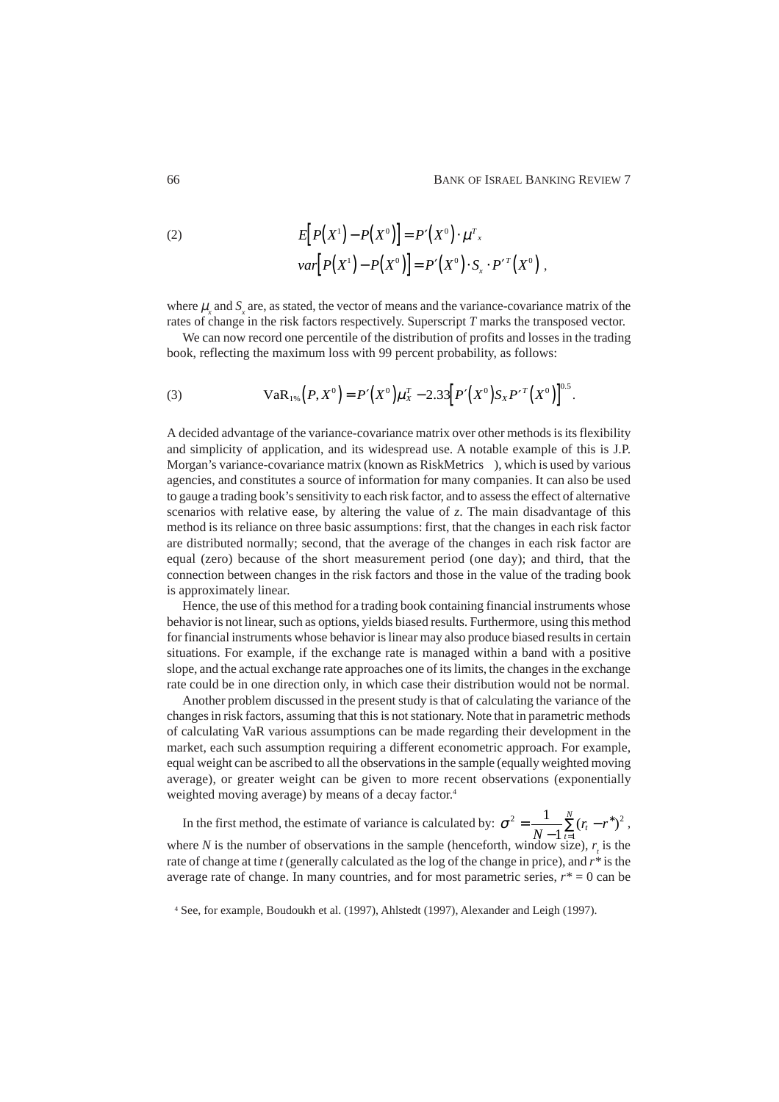(2) 
$$
E[P(X^{1}) - P(X^{0})] = P'(X^{0}) \cdot \mu^{T}.
$$

$$
var[P(X^{1}) - P(X^{0})] = P'(X^{0}) \cdot S_{x} \cdot P'^{T}(X^{0}),
$$

where  $\mu_x$  and  $S_x$  are, as stated, the vector of means and the variance-covariance matrix of the rates of change in the risk factors respectively. Superscript *T* marks the transposed vector.

We can now record one percentile of the distribution of profits and losses in the trading book, reflecting the maximum loss with 99 percent probability, as follows:

(3) 
$$
VaR_{1\%}(P,X^0)=P'(X^0)\mu_X^T-2.33[P'(X^0)S_XP'^T(X^0)]^{0.5}.
$$

A decided advantage of the variance-covariance matrix over other methods is its flexibility and simplicity of application, and its widespread use. A notable example of this is J.P. Morgan's variance-covariance matrix (known as RiskMetrics™), which is used by various agencies, and constitutes a source of information for many companies. It can also be used to gauge a trading book's sensitivity to each risk factor, and to assess the effect of alternative scenarios with relative ease, by altering the value of *z*. The main disadvantage of this method is its reliance on three basic assumptions: first, that the changes in each risk factor are distributed normally; second, that the average of the changes in each risk factor are equal (zero) because of the short measurement period (one day); and third, that the connection between changes in the risk factors and those in the value of the trading book is approximately linear.

Hence, the use of this method for a trading book containing financial instruments whose behavior is not linear, such as options, yields biased results. Furthermore, using this method for financial instruments whose behavior is linear may also produce biased results in certain situations. For example, if the exchange rate is managed within a band with a positive slope, and the actual exchange rate approaches one of its limits, the changes in the exchange rate could be in one direction only, in which case their distribution would not be normal.

Another problem discussed in the present study is that of calculating the variance of the changes in risk factors, assuming that this is not stationary. Note that in parametric methods of calculating VaR various assumptions can be made regarding their development in the market, each such assumption requiring a different econometric approach. For example, equal weight can be ascribed to all the observations in the sample (equally weighted moving average), or greater weight can be given to more recent observations (exponentially weighted moving average) by means of a decay factor.<sup>4</sup>

In the first method, the estimate of variance is calculated by:  $\sigma^2 = \frac{1}{N-1} \sum_{t=1}^{N} (r_t - r^*)^2$  $=\frac{1}{N-1}\sum_{t=1}^{N}(r_{t}-r^{*})$  $\sum^N (r_t - r^*)^2$ , where  $N$  is the number of observations in the sample (henceforth, window size),  $r<sub>t</sub>$  is the rate of change at time *t* (generally calculated as the log of the change in price), and *r\** is the average rate of change. In many countries, and for most parametric series,  $r^* = 0$  can be

<sup>4</sup> See, for example, Boudoukh et al. (1997), Ahlstedt (1997), Alexander and Leigh (1997).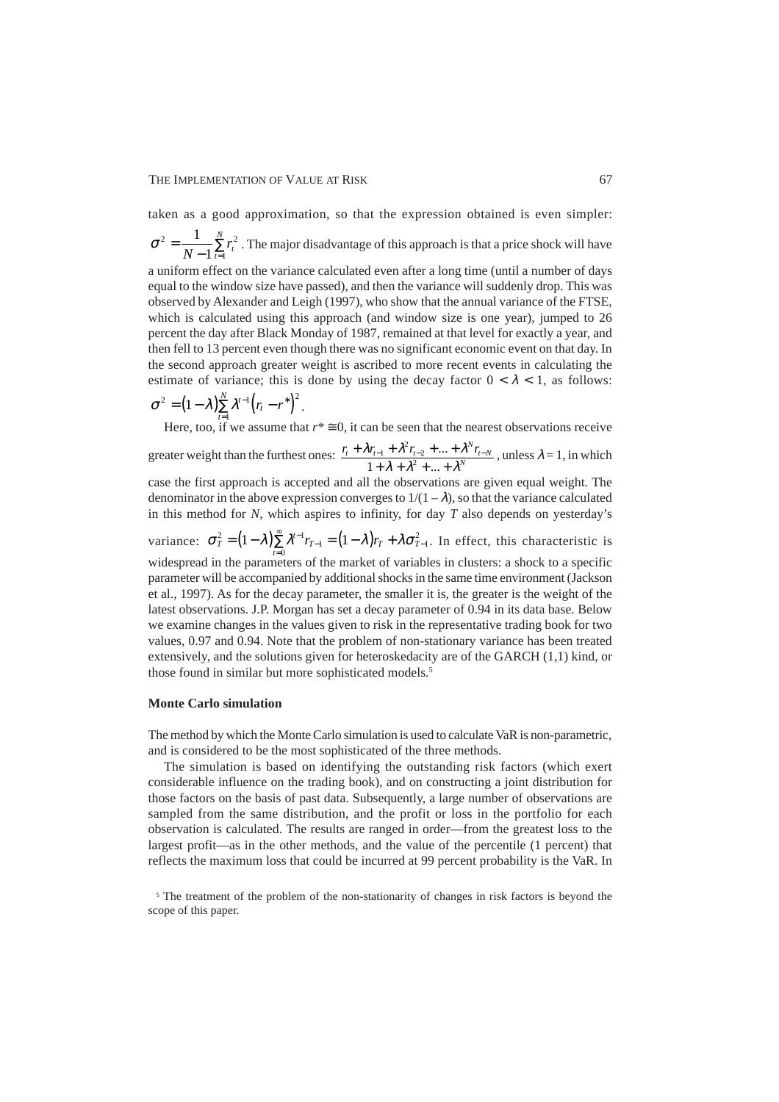taken as a good approximation, so that the expression obtained is even simpler:

 $\sigma^2 = \frac{1}{\sum r^2}$ 1  $=\frac{1}{N-1}\sum_{t=1}^{N}r_t^2$ . The major disadvantage of this approach is that a price shock will have a uniform effect on the variance calculated even after a long time (until a number of days equal to the window size have passed), and then the variance will suddenly drop. This was observed by Alexander and Leigh (1997), who show that the annual variance of the FTSE, which is calculated using this approach (and window size is one year), jumped to 26 percent the day after Black Monday of 1987, remained at that level for exactly a year, and then fell to 13 percent even though there was no significant economic event on that day. In the second approach greater weight is ascribed to more recent events in calculating the

$$
\sigma^2 = (1-\lambda)\sum_{t=1}^N \lambda^{t-1} (r_t - r^*)^2.
$$

Here, too, if we assume that  $r^* \equiv 0$ , it can be seen that the nearest observations receive greater weight than the furthest ones:  $\frac{r_{t} + \lambda r_{t-1} + \lambda^{2} r_{t-2} + ... + \lambda^{N} r_{t-N}}{1 + \lambda^{2} + \lambda^{2} + ... + \lambda^{N} + \lambda^{N}}$ +  $\lambda r_{t-1}$  +  $\lambda^2 r_{t-2}$  + ... +  $\lambda r_{t-1} + \lambda^2 r_{t-2} + ... + \lambda^N r_{t-1}$ 

estimate of variance; this is done by using the decay factor  $0 < \lambda < 1$ , as follows:

 $+ \lambda + \lambda^2 + ... +$  $\lambda + \lambda^2 + ... + \lambda^2$  $\frac{1}{1 + \lambda + \lambda^2 r_{t-2}}$  $+\dots+\lambda^N r_{t-N}$ , unless  $\lambda = 1$ , in which case the first approach is accepted and all the observations are given equal weight. The

denominator in the above expression converges to  $1/(1 - \lambda)$ , so that the variance calculated in this method for *N*, which aspires to infinity, for day *T* also depends on yesterday's

variance:  $\sigma_T^2 = (1 - \lambda) \sum_{t=0}^{\infty} \lambda^{t-1} r_{T-1} = (1 - \lambda) r_T + \lambda \sigma_{T-1}^2$  $\sum_{i=1}^{\infty} \lambda^{t-1} r_{T-1} = (1 - \lambda) r_T + \lambda \sigma_{T-1}^2$ . In effect, this characteristic is widespread in the parameters of the market of variables in clusters: a shock to a specific parameter will be accompanied by additional shocks in the same time environment (Jackson et al., 1997). As for the decay parameter, the smaller it is, the greater is the weight of the latest observations. J.P. Morgan has set a decay parameter of 0.94 in its data base. Below we examine changes in the values given to risk in the representative trading book for two values, 0.97 and 0.94. Note that the problem of non-stationary variance has been treated extensively, and the solutions given for heteroskedacity are of the GARCH (1,1) kind, or those found in similar but more sophisticated models.<sup>5</sup>

#### **Monte Carlo simulation**

The method by which the Monte Carlo simulation is used to calculate VaR is non-parametric, and is considered to be the most sophisticated of the three methods.

The simulation is based on identifying the outstanding risk factors (which exert considerable influence on the trading book), and on constructing a joint distribution for those factors on the basis of past data. Subsequently, a large number of observations are sampled from the same distribution, and the profit or loss in the portfolio for each observation is calculated. The results are ranged in order—from the greatest loss to the largest profit—as in the other methods, and the value of the percentile (1 percent) that reflects the maximum loss that could be incurred at 99 percent probability is the VaR. In

<sup>&</sup>lt;sup>5</sup> The treatment of the problem of the non-stationarity of changes in risk factors is beyond the scope of this paper.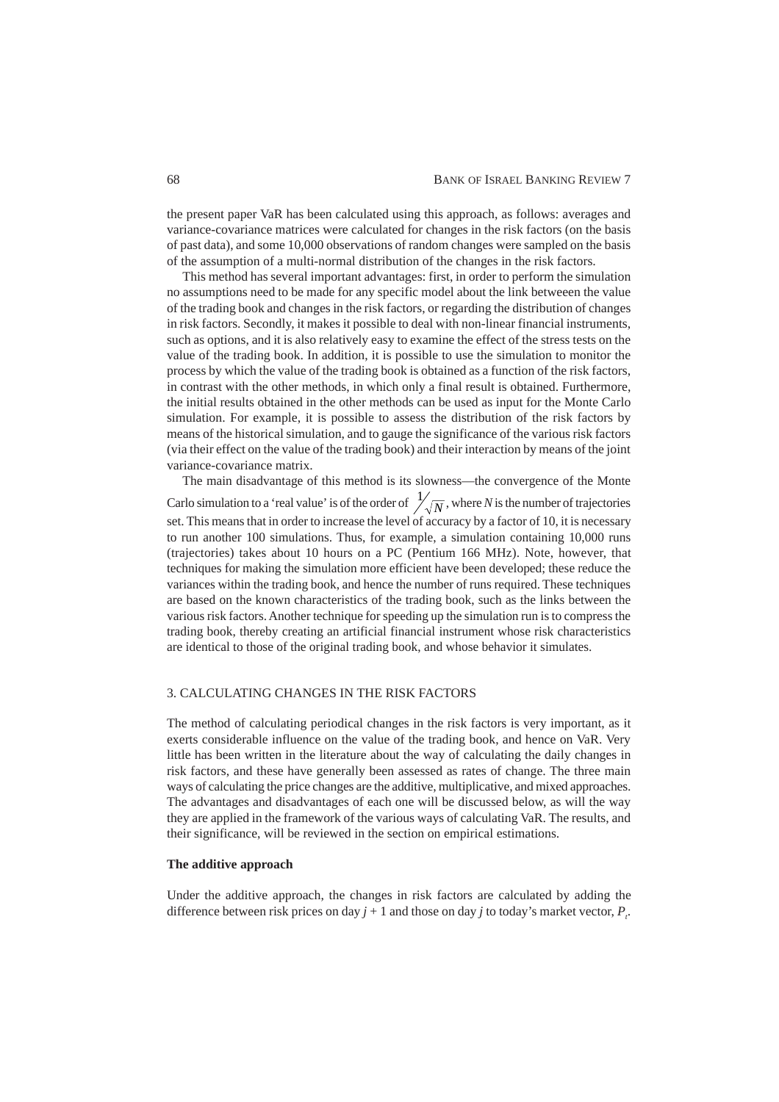the present paper VaR has been calculated using this approach, as follows: averages and variance-covariance matrices were calculated for changes in the risk factors (on the basis of past data), and some 10,000 observations of random changes were sampled on the basis of the assumption of a multi-normal distribution of the changes in the risk factors.

This method has several important advantages: first, in order to perform the simulation no assumptions need to be made for any specific model about the link betweeen the value of the trading book and changes in the risk factors, or regarding the distribution of changes in risk factors. Secondly, it makes it possible to deal with non-linear financial instruments, such as options, and it is also relatively easy to examine the effect of the stress tests on the value of the trading book. In addition, it is possible to use the simulation to monitor the process by which the value of the trading book is obtained as a function of the risk factors, in contrast with the other methods, in which only a final result is obtained. Furthermore, the initial results obtained in the other methods can be used as input for the Monte Carlo simulation. For example, it is possible to assess the distribution of the risk factors by means of the historical simulation, and to gauge the significance of the various risk factors (via their effect on the value of the trading book) and their interaction by means of the joint variance-covariance matrix.

The main disadvantage of this method is its slowness—the convergence of the Monte Carlo simulation to a 'real value' is of the order of  $\frac{1}{\sqrt{N}}$ , where *N* is the number of trajectories set. This means that in order to increase the level of accuracy by a factor of 10, it is necessary to run another 100 simulations. Thus, for example, a simulation containing 10,000 runs (trajectories) takes about 10 hours on a PC (Pentium 166 MHz). Note, however, that techniques for making the simulation more efficient have been developed; these reduce the variances within the trading book, and hence the number of runs required. These techniques are based on the known characteristics of the trading book, such as the links between the various risk factors. Another technique for speeding up the simulation run is to compress the trading book, thereby creating an artificial financial instrument whose risk characteristics are identical to those of the original trading book, and whose behavior it simulates.

# 3. CALCULATING CHANGES IN THE RISK FACTORS

The method of calculating periodical changes in the risk factors is very important, as it exerts considerable influence on the value of the trading book, and hence on VaR. Very little has been written in the literature about the way of calculating the daily changes in risk factors, and these have generally been assessed as rates of change. The three main ways of calculating the price changes are the additive, multiplicative, and mixed approaches. The advantages and disadvantages of each one will be discussed below, as will the way they are applied in the framework of the various ways of calculating VaR. The results, and their significance, will be reviewed in the section on empirical estimations.

#### **The additive approach**

Under the additive approach, the changes in risk factors are calculated by adding the difference between risk prices on day  $j + 1$  and those on day  $j$  to today's market vector,  $P_i$ .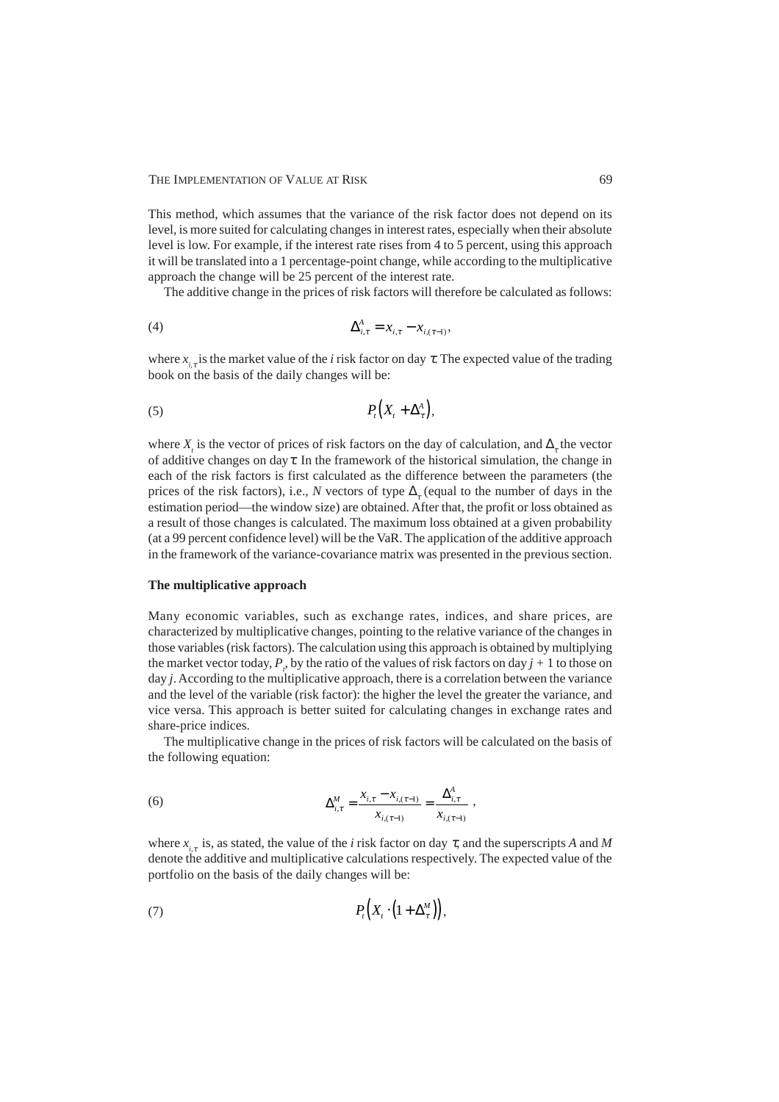This method, which assumes that the variance of the risk factor does not depend on its level, is more suited for calculating changes in interest rates, especially when their absolute level is low. For example, if the interest rate rises from 4 to 5 percent, using this approach it will be translated into a 1 percentage-point change, while according to the multiplicative approach the change will be 25 percent of the interest rate.

The additive change in the prices of risk factors will therefore be calculated as follows:

(4) 
$$
\Delta_{i,\tau}^A = x_{i,\tau} - x_{i,(\tau-1)},
$$

where  $x_{i,t}$  is the market value of the *i* risk factor on day  $\tau$ . The expected value of the trading book on the basis of the daily changes will be:

$$
(5) \t\t P_t(X_t + \Delta_t^A),
$$

where  $X_t$  is the vector of prices of risk factors on the day of calculation, and  $\Delta_{\tau}$  the vector of additive changes on day  $\tau$ . In the framework of the historical simulation, the change in each of the risk factors is first calculated as the difference between the parameters (the prices of the risk factors), i.e., *N* vectors of type  $\Delta_{\tau}$  (equal to the number of days in the estimation period—the window size) are obtained. After that, the profit or loss obtained as a result of those changes is calculated. The maximum loss obtained at a given probability (at a 99 percent confidence level) will be the VaR. The application of the additive approach in the framework of the variance-covariance matrix was presented in the previous section.

## **The multiplicative approach**

Many economic variables, such as exchange rates, indices, and share prices, are characterized by multiplicative changes, pointing to the relative variance of the changes in those variables (risk factors). The calculation using this approach is obtained by multiplying the market vector today,  $P_t$ , by the ratio of the values of risk factors on day  $j + 1$  to those on day *j*. According to the multiplicative approach, there is a correlation between the variance and the level of the variable (risk factor): the higher the level the greater the variance, and vice versa. This approach is better suited for calculating changes in exchange rates and share-price indices.

The multiplicative change in the prices of risk factors will be calculated on the basis of the following equation:

(6) 
$$
\Delta_{i,\tau}^M = \frac{x_{i,\tau} - x_{i,(\tau-1)}}{x_{i,(\tau-1)}} = \frac{\Delta_{i,\tau}^A}{x_{i,(\tau-1)}},
$$

where  $x_{i,\tau}$  is, as stated, the value of the *i* risk factor on day  $\tau$ , and the superscripts *A* and *M* denote the additive and multiplicative calculations respectively. The expected value of the portfolio on the basis of the daily changes will be:

$$
(7) \t\t P_t(X_t \cdot (1 + \Delta_\tau^M)),
$$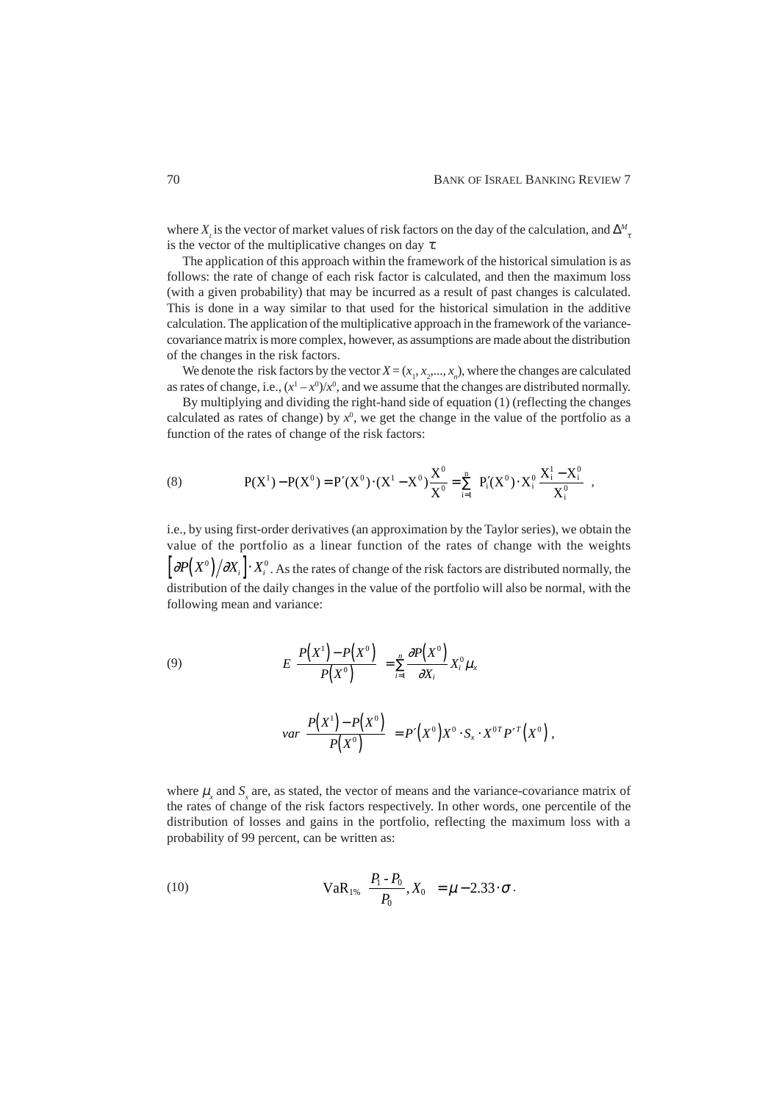where  $X_t$  is the vector of market values of risk factors on the day of the calculation, and  $\Delta_{\tau}^M$ is the vector of the multiplicative changes on day  $\tau$ .

The application of this approach within the framework of the historical simulation is as follows: the rate of change of each risk factor is calculated, and then the maximum loss (with a given probability) that may be incurred as a result of past changes is calculated. This is done in a way similar to that used for the historical simulation in the additive calculation. The application of the multiplicative approach in the framework of the variancecovariance matrix is more complex, however, as assumptions are made about the distribution of the changes in the risk factors.

We denote the risk factors by the vector  $X = (x_1, x_2, ..., x_n)$ , where the changes are calculated as rates of change, i.e.,  $(x^1 - x^0)/x^0$ , and we assume that the changes are distributed normally.

By multiplying and dividing the right-hand side of equation (1) (reflecting the changes calculated as rates of change) by  $x^0$ , we get the change in the value of the portfolio as a function of the rates of change of the risk factors:

(8) 
$$
P(X^1) - P(X^0) = P'(X^0) \cdot (X^1 - X^0) \frac{X^0}{X^0} = \sum_{i=1}^n \left( P'_i(X^0) \cdot X^0_i \frac{X^1_i - X^0_i}{X^0_i} \right),
$$

i.e., by using first-order derivatives (an approximation by the Taylor series), we obtain the value of the portfolio as a linear function of the rates of change with the weights  $\left|\partial P(X^{\text{o}})/\partial X_i\right|\cdot X_i^{\text{o}}$  . As the rates of change of the risk factors are distributed normally, the distribution of the daily changes in the value of the portfolio will also be normal, with the following mean and variance:

(9)  

$$
E\left[\frac{P(X^1) - P(X^0)}{P(X^0)}\right] = \sum_{i=1}^n \frac{\partial P(X^0)}{\partial X_i} X_i^0 \mu_x
$$

$$
var\left[\frac{P(X^1) - P(X^0)}{P(X^0)}\right] = P'(X^0)X^0 \cdot S_x \cdot X^{0T} P'^T(X^0),
$$

where  $\mu$ <sub>x</sub> and  $S$ <sub>x</sub> are, as stated, the vector of means and the variance-covariance matrix of the rates of change of the risk factors respectively. In other words, one percentile of the distribution of losses and gains in the portfolio, reflecting the maximum loss with a probability of 99 percent, can be written as:

(10) 
$$
VaR_{1\%}\left(\frac{P_{1}-P_{0}}{P_{0}},X_{0}\right)=\mu-2.33\cdot\sigma.
$$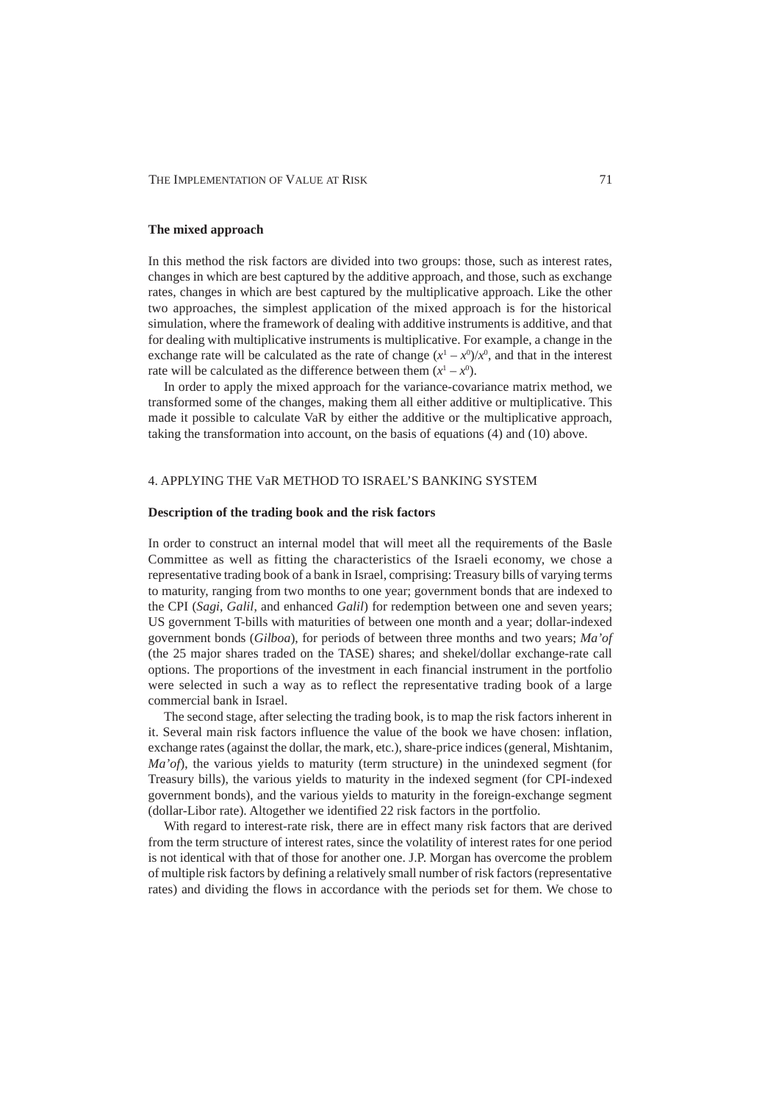## **The mixed approach**

In this method the risk factors are divided into two groups: those, such as interest rates, changes in which are best captured by the additive approach, and those, such as exchange rates, changes in which are best captured by the multiplicative approach. Like the other two approaches, the simplest application of the mixed approach is for the historical simulation, where the framework of dealing with additive instruments is additive, and that for dealing with multiplicative instruments is multiplicative. For example, a change in the exchange rate will be calculated as the rate of change  $(x^1 - x^0)/x^0$ , and that in the interest rate will be calculated as the difference between them  $(x^1 - x^0)$ .

In order to apply the mixed approach for the variance-covariance matrix method, we transformed some of the changes, making them all either additive or multiplicative. This made it possible to calculate VaR by either the additive or the multiplicative approach, taking the transformation into account, on the basis of equations (4) and (10) above.

# 4. APPLYING THE VaR METHOD TO ISRAEL'S BANKING SYSTEM

# **Description of the trading book and the risk factors**

In order to construct an internal model that will meet all the requirements of the Basle Committee as well as fitting the characteristics of the Israeli economy, we chose a representative trading book of a bank in Israel, comprising: Treasury bills of varying terms to maturity, ranging from two months to one year; government bonds that are indexed to the CPI (*Sagi*, *Galil*, and enhanced *Galil*) for redemption between one and seven years; US government T-bills with maturities of between one month and a year; dollar-indexed government bonds (*Gilboa*), for periods of between three months and two years; *Ma'of* (the 25 major shares traded on the TASE) shares; and shekel/dollar exchange-rate call options. The proportions of the investment in each financial instrument in the portfolio were selected in such a way as to reflect the representative trading book of a large commercial bank in Israel.

The second stage, after selecting the trading book, is to map the risk factors inherent in it. Several main risk factors influence the value of the book we have chosen: inflation, exchange rates (against the dollar, the mark, etc.), share-price indices (general, Mishtanim, *Ma'of*), the various yields to maturity (term structure) in the unindexed segment (for Treasury bills), the various yields to maturity in the indexed segment (for CPI-indexed government bonds), and the various yields to maturity in the foreign-exchange segment (dollar-Libor rate). Altogether we identified 22 risk factors in the portfolio.

With regard to interest-rate risk, there are in effect many risk factors that are derived from the term structure of interest rates, since the volatility of interest rates for one period is not identical with that of those for another one. J.P. Morgan has overcome the problem of multiple risk factors by defining a relatively small number of risk factors (representative rates) and dividing the flows in accordance with the periods set for them. We chose to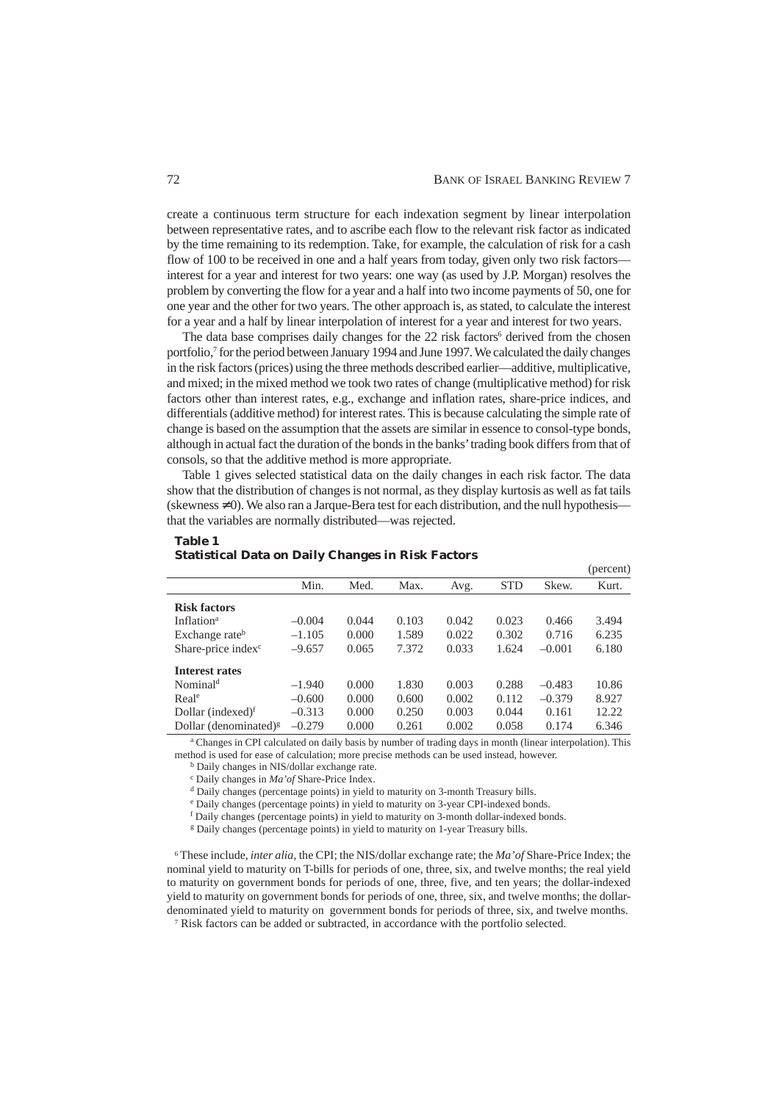create a continuous term structure for each indexation segment by linear interpolation between representative rates, and to ascribe each flow to the relevant risk factor as indicated by the time remaining to its redemption. Take, for example, the calculation of risk for a cash flow of 100 to be received in one and a half years from today, given only two risk factors interest for a year and interest for two years: one way (as used by J.P. Morgan) resolves the problem by converting the flow for a year and a half into two income payments of 50, one for one year and the other for two years. The other approach is, as stated, to calculate the interest for a year and a half by linear interpolation of interest for a year and interest for two years.

The data base comprises daily changes for the 22 risk factors<sup>6</sup> derived from the chosen portfolio,<sup>7</sup> for the period between January 1994 and June 1997. We calculated the daily changes in the risk factors (prices) using the three methods described earlier—additive, multiplicative, and mixed; in the mixed method we took two rates of change (multiplicative method) for risk factors other than interest rates, e.g., exchange and inflation rates, share-price indices, and differentials (additive method) for interest rates. This is because calculating the simple rate of change is based on the assumption that the assets are similar in essence to consol-type bonds, although in actual fact the duration of the bonds in the banks' trading book differs from that of consols, so that the additive method is more appropriate.

Table 1 gives selected statistical data on the daily changes in each risk factor. The data show that the distribution of changes is not normal, as they display kurtosis as well as fat tails (skewness  $\neq$  0). We also ran a Jarque-Bera test for each distribution, and the null hypothesis that the variables are normally distributed—was rejected.

| (percent) |
|-----------|
| Kurt.     |
|           |
| 3.494     |
| 6.235     |
| 6.180     |
|           |
| 10.86     |
| 8.927     |
| 12.22     |
| 6.346     |
|           |

#### **Table 1 Statistical Data on Daily Changes in Risk Factors**

<sup>a</sup> Changes in CPI calculated on daily basis by number of trading days in month (linear interpolation). This method is used for ease of calculation; more precise methods can be used instead, however.

b Daily changes in NIS/dollar exchange rate.

c Daily changes in *Ma'of* Share-Price Index.

d Daily changes (percentage points) in yield to maturity on 3-month Treasury bills.

e Daily changes (percentage points) in yield to maturity on 3-year CPI-indexed bonds.

f Daily changes (percentage points) in yield to maturity on 3-month dollar-indexed bonds.

<sup>g</sup> Daily changes (percentage points) in yield to maturity on 1-year Treasury bills.

6 These include, *inter alia*, the CPI; the NIS/dollar exchange rate; the *Ma'of* Share-Price Index; the nominal yield to maturity on T-bills for periods of one, three, six, and twelve months; the real yield to maturity on government bonds for periods of one, three, five, and ten years; the dollar-indexed yield to maturity on government bonds for periods of one, three, six, and twelve months; the dollardenominated yield to maturity on government bonds for periods of three, six, and twelve months.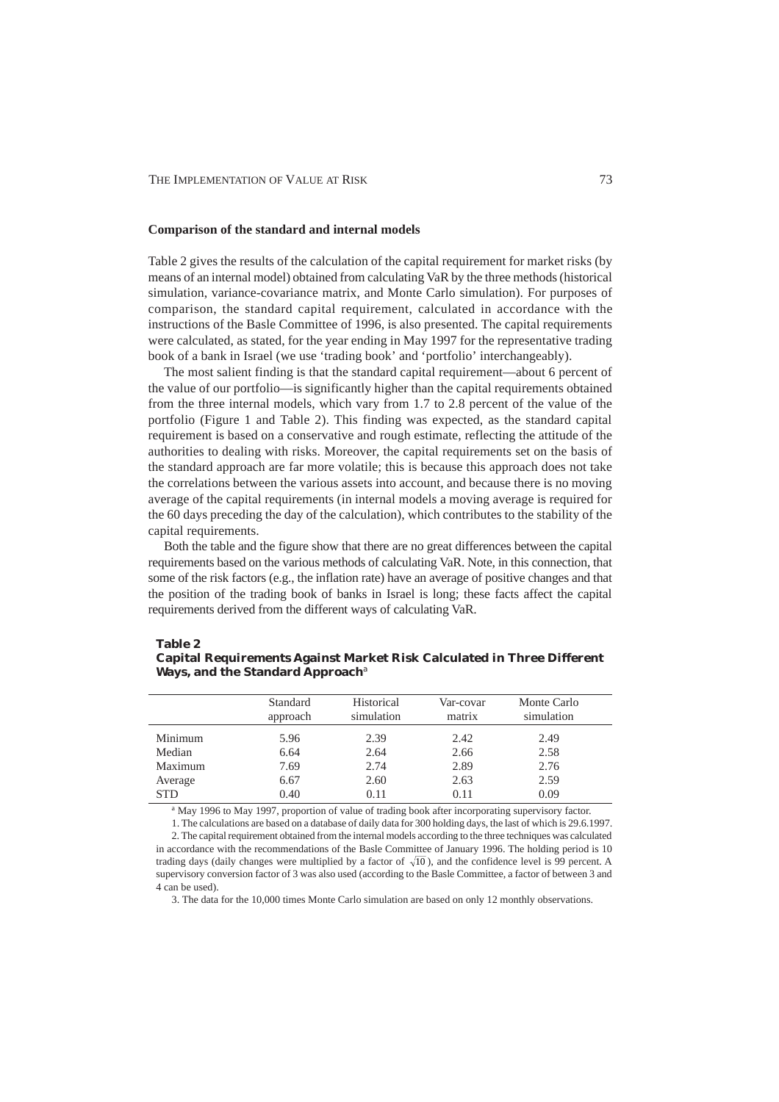#### **Comparison of the standard and internal models**

Table 2 gives the results of the calculation of the capital requirement for market risks (by means of an internal model) obtained from calculating VaR by the three methods (historical simulation, variance-covariance matrix, and Monte Carlo simulation). For purposes of comparison, the standard capital requirement, calculated in accordance with the instructions of the Basle Committee of 1996, is also presented. The capital requirements were calculated, as stated, for the year ending in May 1997 for the representative trading book of a bank in Israel (we use 'trading book' and 'portfolio' interchangeably).

The most salient finding is that the standard capital requirement—about 6 percent of the value of our portfolio—is significantly higher than the capital requirements obtained from the three internal models, which vary from 1.7 to 2.8 percent of the value of the portfolio (Figure 1 and Table 2). This finding was expected, as the standard capital requirement is based on a conservative and rough estimate, reflecting the attitude of the authorities to dealing with risks. Moreover, the capital requirements set on the basis of the standard approach are far more volatile; this is because this approach does not take the correlations between the various assets into account, and because there is no moving average of the capital requirements (in internal models a moving average is required for the 60 days preceding the day of the calculation), which contributes to the stability of the capital requirements.

Both the table and the figure show that there are no great differences between the capital requirements based on the various methods of calculating VaR. Note, in this connection, that some of the risk factors (e.g., the inflation rate) have an average of positive changes and that the position of the trading book of banks in Israel is long; these facts affect the capital requirements derived from the different ways of calculating VaR.

# **Table 2**

| <b>Capital Requirements Against Market Risk Calculated in Three Different</b> |  |  |
|-------------------------------------------------------------------------------|--|--|
| Ways, and the Standard Approach <sup>a</sup>                                  |  |  |

|            | Standard<br>approach | Historical<br>simulation | Var-covar<br>matrix | Monte Carlo<br>simulation |  |
|------------|----------------------|--------------------------|---------------------|---------------------------|--|
| Minimum    | 5.96                 | 2.39                     | 2.42                | 2.49                      |  |
| Median     | 6.64                 | 2.64                     | 2.66                | 2.58                      |  |
| Maximum    | 7.69                 | 2.74                     | 2.89                | 2.76                      |  |
| Average    | 6.67                 | 2.60                     | 2.63                | 2.59                      |  |
| <b>STD</b> | 0.40                 | 0.11                     | 0.11                | 0.09                      |  |

<sup>a</sup> May 1996 to May 1997, proportion of value of trading book after incorporating supervisory factor.

1. The calculations are based on a database of daily data for 300 holding days, the last of which is 29.6.1997.

2. The capital requirement obtained from the internal models according to the three techniques was calculated in accordance with the recommendations of the Basle Committee of January 1996. The holding period is 10 trading days (daily changes were multiplied by a factor of  $\sqrt{10}$ ), and the confidence level is 99 percent. A supervisory conversion factor of 3 was also used (according to the Basle Committee, a factor of between 3 and 4 can be used).

3. The data for the 10,000 times Monte Carlo simulation are based on only 12 monthly observations.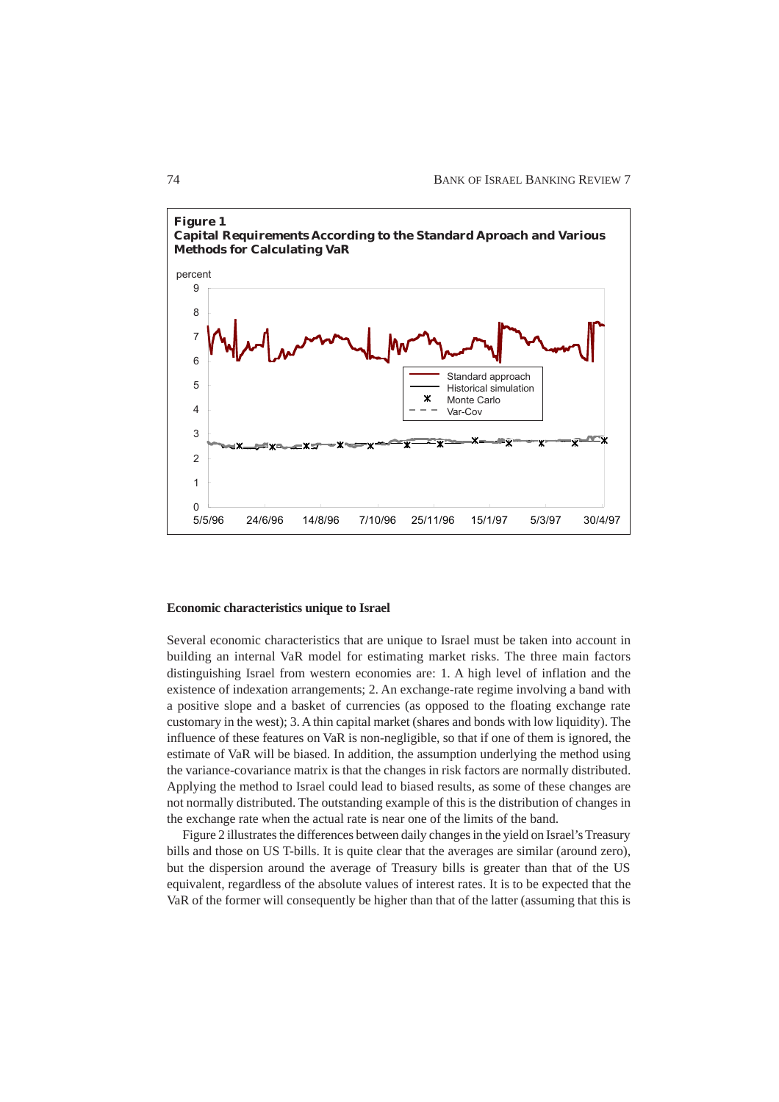

#### **Economic characteristics unique to Israel**

Several economic characteristics that are unique to Israel must be taken into account in building an internal VaR model for estimating market risks. The three main factors distinguishing Israel from western economies are: 1. A high level of inflation and the existence of indexation arrangements; 2. An exchange-rate regime involving a band with a positive slope and a basket of currencies (as opposed to the floating exchange rate customary in the west); 3. A thin capital market (shares and bonds with low liquidity). The influence of these features on VaR is non-negligible, so that if one of them is ignored, the estimate of VaR will be biased. In addition, the assumption underlying the method using the variance-covariance matrix is that the changes in risk factors are normally distributed. Applying the method to Israel could lead to biased results, as some of these changes are not normally distributed. The outstanding example of this is the distribution of changes in the exchange rate when the actual rate is near one of the limits of the band.

Figure 2 illustrates the differences between daily changes in the yield on Israel's Treasury bills and those on US T-bills. It is quite clear that the averages are similar (around zero), but the dispersion around the average of Treasury bills is greater than that of the US equivalent, regardless of the absolute values of interest rates. It is to be expected that the VaR of the former will consequently be higher than that of the latter (assuming that this is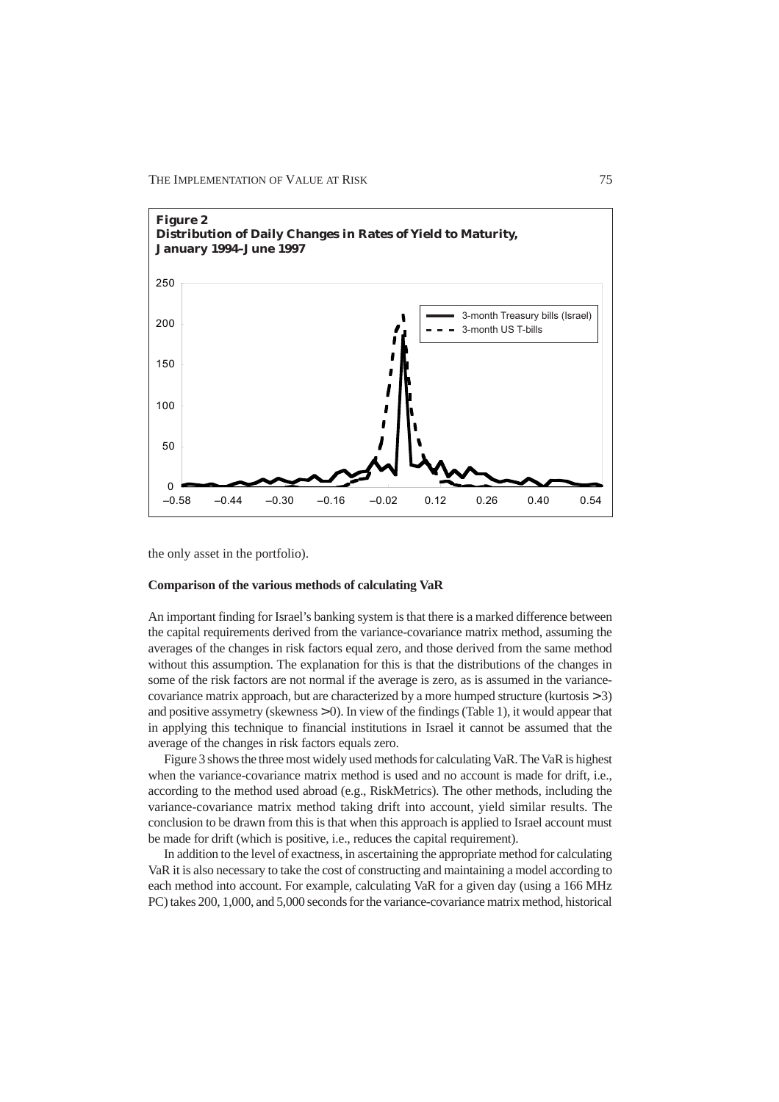

the only asset in the portfolio).

## **Comparison of the various methods of calculating VaR**

An important finding for Israel's banking system is that there is a marked difference between the capital requirements derived from the variance-covariance matrix method, assuming the averages of the changes in risk factors equal zero, and those derived from the same method without this assumption. The explanation for this is that the distributions of the changes in some of the risk factors are not normal if the average is zero, as is assumed in the variancecovariance matrix approach, but are characterized by a more humped structure (kurtosis > 3) and positive assymetry (skewness  $> 0$ ). In view of the findings (Table 1), it would appear that in applying this technique to financial institutions in Israel it cannot be assumed that the average of the changes in risk factors equals zero.

Figure 3 shows the three most widely used methods for calculating VaR. The VaR is highest when the variance-covariance matrix method is used and no account is made for drift, i.e., according to the method used abroad (e.g., RiskMetrics). The other methods, including the variance-covariance matrix method taking drift into account, yield similar results. The conclusion to be drawn from this is that when this approach is applied to Israel account must be made for drift (which is positive, i.e., reduces the capital requirement).

In addition to the level of exactness, in ascertaining the appropriate method for calculating VaR it is also necessary to take the cost of constructing and maintaining a model according to each method into account. For example, calculating VaR for a given day (using a 166 MHz PC) takes 200, 1,000, and 5,000 seconds for the variance-covariance matrix method, historical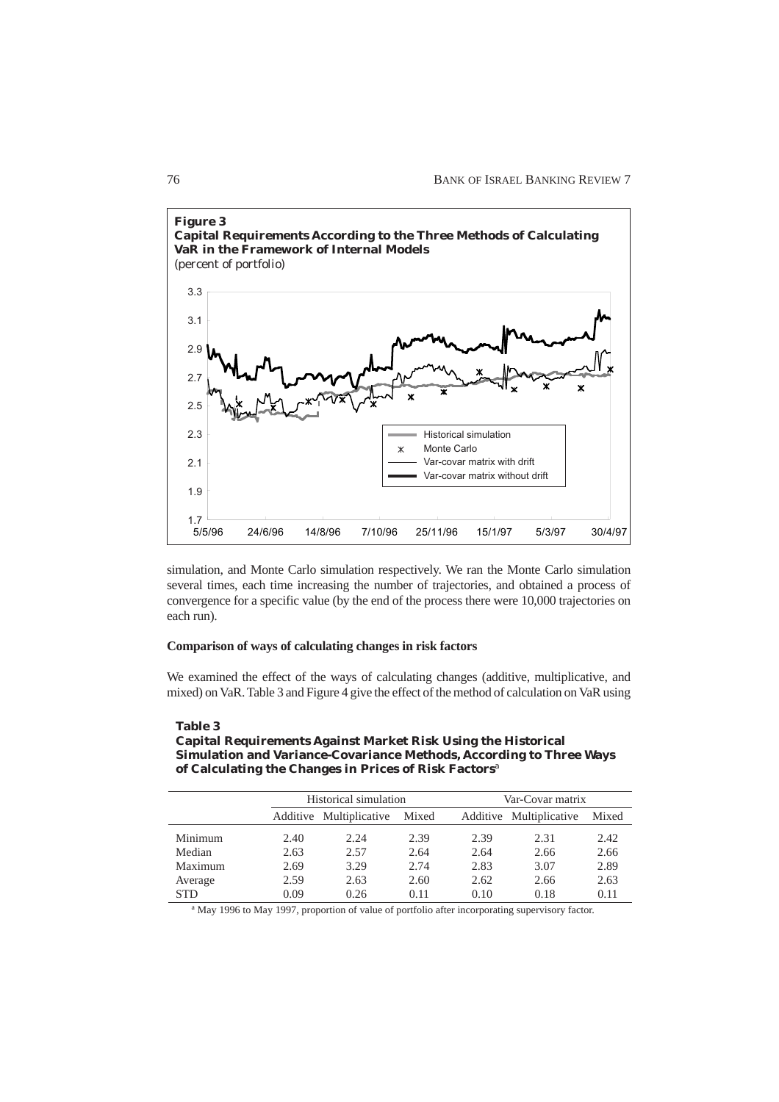

simulation, and Monte Carlo simulation respectively. We ran the Monte Carlo simulation several times, each time increasing the number of trajectories, and obtained a process of convergence for a specific value (by the end of the process there were 10,000 trajectories on each run).

#### **Comparison of ways of calculating changes in risk factors**

We examined the effect of the ways of calculating changes (additive, multiplicative, and mixed) on VaR. Table 3 and Figure 4 give the effect of the method of calculation on VaR using

## **Table 3 Capital Requirements Against Market Risk Using the Historical Simulation and Variance-Covariance Methods, According to Three Ways of Calculating the Changes in Prices of Risk Factors**<sup>a</sup>

|            |      | Historical simulation   |       |      | Var-Covar matrix        |       |  |  |
|------------|------|-------------------------|-------|------|-------------------------|-------|--|--|
|            |      | Additive Multiplicative | Mixed |      | Additive Multiplicative | Mixed |  |  |
| Minimum    | 2.40 | 2.24                    | 2.39  | 2.39 | 2.31                    | 2.42  |  |  |
| Median     | 2.63 | 2.57                    | 2.64  | 2.64 | 2.66                    | 2.66  |  |  |
| Maximum    | 2.69 | 3.29                    | 2.74  | 2.83 | 3.07                    | 2.89  |  |  |
| Average    | 2.59 | 2.63                    | 2.60  | 2.62 | 2.66                    | 2.63  |  |  |
| <b>STD</b> | 0.09 | 0.26                    | 0.11  | 0.10 | 0.18                    | 0.11  |  |  |

<sup>a</sup> May 1996 to May 1997, proportion of value of portfolio after incorporating supervisory factor.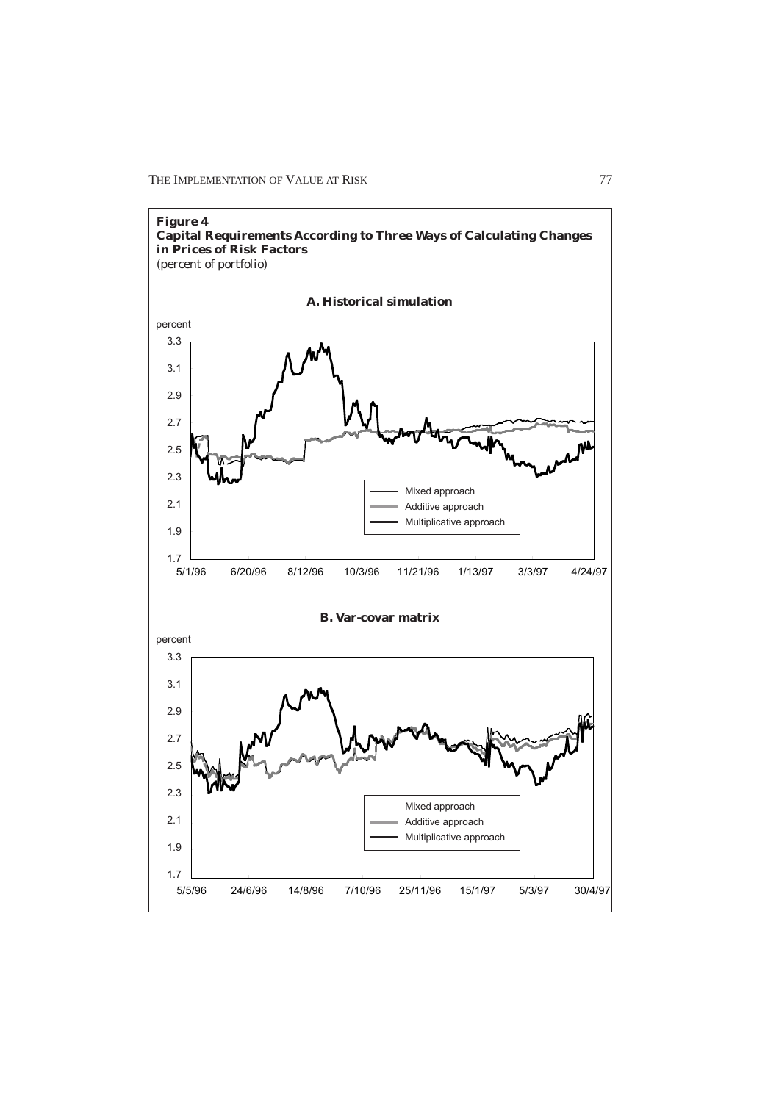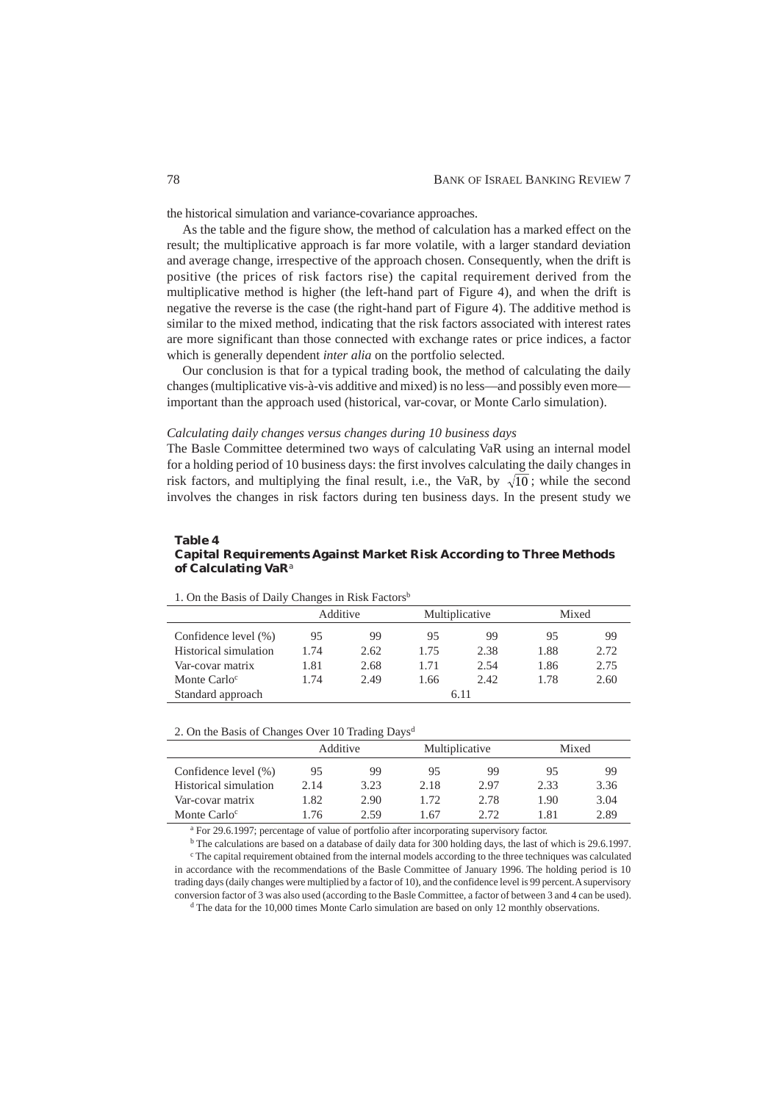the historical simulation and variance-covariance approaches.

As the table and the figure show, the method of calculation has a marked effect on the result; the multiplicative approach is far more volatile, with a larger standard deviation and average change, irrespective of the approach chosen. Consequently, when the drift is positive (the prices of risk factors rise) the capital requirement derived from the multiplicative method is higher (the left-hand part of Figure 4), and when the drift is negative the reverse is the case (the right-hand part of Figure 4). The additive method is similar to the mixed method, indicating that the risk factors associated with interest rates are more significant than those connected with exchange rates or price indices, a factor which is generally dependent *inter alia* on the portfolio selected.

Our conclusion is that for a typical trading book, the method of calculating the daily changes (multiplicative vis-à-vis additive and mixed) is no less—and possibly even more important than the approach used (historical, var-covar, or Monte Carlo simulation).

#### *Calculating daily changes versus changes during 10 business days*

The Basle Committee determined two ways of calculating VaR using an internal model for a holding period of 10 business days: the first involves calculating the daily changes in risk factors, and multiplying the final result, i.e., the VaR, by  $\sqrt{10}$ ; while the second involves the changes in risk factors during ten business days. In the present study we

## **Table 4 Capital Requirements Against Market Risk According to Three Methods of Calculating VaR**<sup>a</sup>

|                          | Additive |      | Multiplicative |       | Mixed |      |  |  |
|--------------------------|----------|------|----------------|-------|-------|------|--|--|
| Confidence level (%)     | 95       | 99   | 95             | 99    | 95    | 99   |  |  |
| Historical simulation    | 1.74     | 2.62 | 1.75           | 2.38  | 1.88  | 2.72 |  |  |
| Var-covar matrix         | 1.81     | 2.68 | 1.71           | 2.54  | 1.86  | 2.75 |  |  |
| Monte Carlo <sup>c</sup> | 1.74     | 2.49 | 1.66           | 2.42. | 1.78  | 2.60 |  |  |
| Standard approach        |          |      |                | 6.11  |       |      |  |  |

1. On the Basis of Daily Changes in Risk Factorsb

#### 2. On the Basis of Changes Over 10 Trading Days<sup>d</sup>

|                          | Additive |      | Multiplicative |      | Mixed |      |
|--------------------------|----------|------|----------------|------|-------|------|
| Confidence level $(\% )$ | 95       | 99   | 95             | 99   | 95    | 99   |
| Historical simulation    | 2.14     | 3.23 | 2.18           | 2.97 | 2.33  | 3.36 |
| Var-covar matrix         | 1.82     | 2.90 | 1.72           | 2.78 | 1.90  | 3.04 |
| Monte Carlo <sup>c</sup> | 1.76     | 2.59 | 1.67           | 2.72 | 1.81  | 2.89 |

<sup>a</sup> For 29.6.1997; percentage of value of portfolio after incorporating supervisory factor.

<sup>b</sup> The calculations are based on a database of daily data for 300 holding days, the last of which is 29.6.1997. <sup>c</sup> The capital requirement obtained from the internal models according to the three techniques was calculated in accordance with the recommendations of the Basle Committee of January 1996. The holding period is 10 trading days (daily changes were multiplied by a factor of 10), and the confidence level is 99 percent. A supervisory conversion factor of 3 was also used (according to the Basle Committee, a factor of between 3 and 4 can be used).

<sup>d</sup> The data for the 10,000 times Monte Carlo simulation are based on only 12 monthly observations.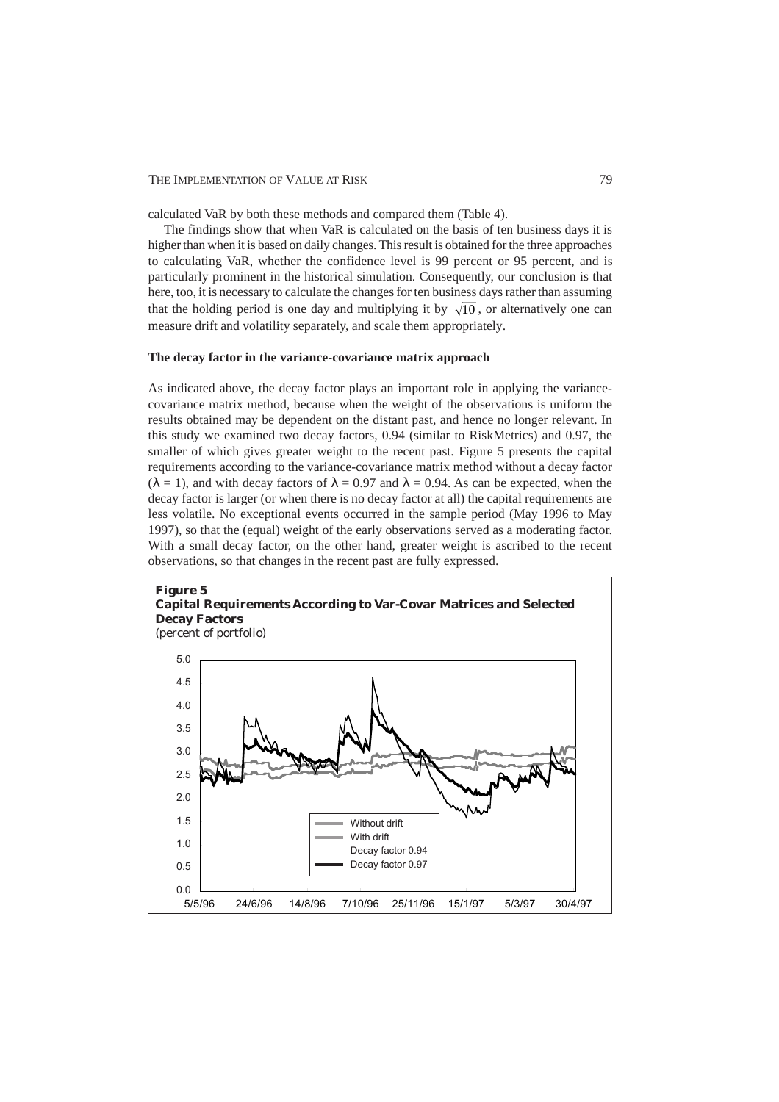calculated VaR by both these methods and compared them (Table 4).

The findings show that when VaR is calculated on the basis of ten business days it is higher than when it is based on daily changes. This result is obtained for the three approaches to calculating VaR, whether the confidence level is 99 percent or 95 percent, and is particularly prominent in the historical simulation. Consequently, our conclusion is that here, too, it is necessary to calculate the changes for ten business days rather than assuming that the holding period is one day and multiplying it by  $\sqrt{10}$ , or alternatively one can measure drift and volatility separately, and scale them appropriately.

#### **The decay factor in the variance-covariance matrix approach**

As indicated above, the decay factor plays an important role in applying the variancecovariance matrix method, because when the weight of the observations is uniform the results obtained may be dependent on the distant past, and hence no longer relevant. In this study we examined two decay factors, 0.94 (similar to RiskMetrics) and 0.97, the smaller of which gives greater weight to the recent past. Figure 5 presents the capital requirements according to the variance-covariance matrix method without a decay factor ( $\lambda = 1$ ), and with decay factors of  $\lambda = 0.97$  and  $\lambda = 0.94$ . As can be expected, when the decay factor is larger (or when there is no decay factor at all) the capital requirements are less volatile. No exceptional events occurred in the sample period (May 1996 to May 1997), so that the (equal) weight of the early observations served as a moderating factor. With a small decay factor, on the other hand, greater weight is ascribed to the recent observations, so that changes in the recent past are fully expressed.

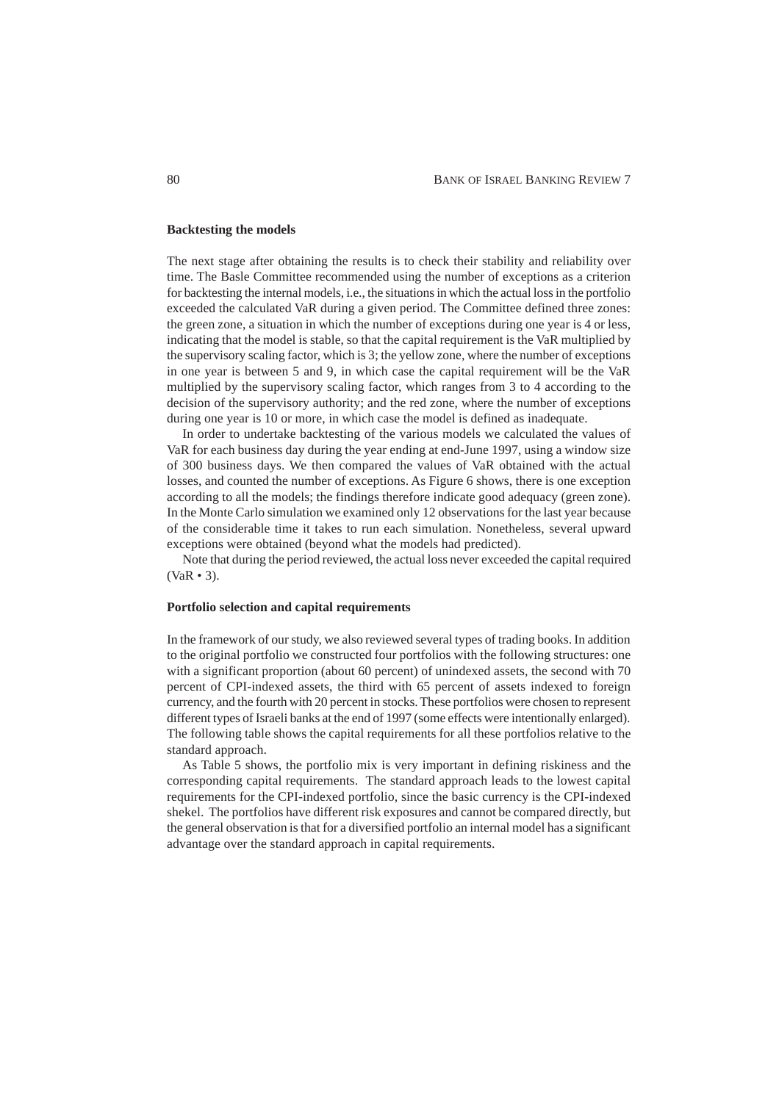## **Backtesting the models**

The next stage after obtaining the results is to check their stability and reliability over time. The Basle Committee recommended using the number of exceptions as a criterion for backtesting the internal models, i.e., the situations in which the actual loss in the portfolio exceeded the calculated VaR during a given period. The Committee defined three zones: the green zone, a situation in which the number of exceptions during one year is 4 or less, indicating that the model is stable, so that the capital requirement is the VaR multiplied by the supervisory scaling factor, which is 3; the yellow zone, where the number of exceptions in one year is between 5 and 9, in which case the capital requirement will be the VaR multiplied by the supervisory scaling factor, which ranges from 3 to 4 according to the decision of the supervisory authority; and the red zone, where the number of exceptions during one year is 10 or more, in which case the model is defined as inadequate.

In order to undertake backtesting of the various models we calculated the values of VaR for each business day during the year ending at end-June 1997, using a window size of 300 business days. We then compared the values of VaR obtained with the actual losses, and counted the number of exceptions. As Figure 6 shows, there is one exception according to all the models; the findings therefore indicate good adequacy (green zone). In the Monte Carlo simulation we examined only 12 observations for the last year because of the considerable time it takes to run each simulation. Nonetheless, several upward exceptions were obtained (beyond what the models had predicted).

Note that during the period reviewed, the actual loss never exceeded the capital required (VaR • 3).

## **Portfolio selection and capital requirements**

In the framework of our study, we also reviewed several types of trading books. In addition to the original portfolio we constructed four portfolios with the following structures: one with a significant proportion (about 60 percent) of unindexed assets, the second with 70 percent of CPI-indexed assets, the third with 65 percent of assets indexed to foreign currency, and the fourth with 20 percent in stocks. These portfolios were chosen to represent different types of Israeli banks at the end of 1997 (some effects were intentionally enlarged). The following table shows the capital requirements for all these portfolios relative to the standard approach.

As Table 5 shows, the portfolio mix is very important in defining riskiness and the corresponding capital requirements. The standard approach leads to the lowest capital requirements for the CPI-indexed portfolio, since the basic currency is the CPI-indexed shekel. The portfolios have different risk exposures and cannot be compared directly, but the general observation is that for a diversified portfolio an internal model has a significant advantage over the standard approach in capital requirements.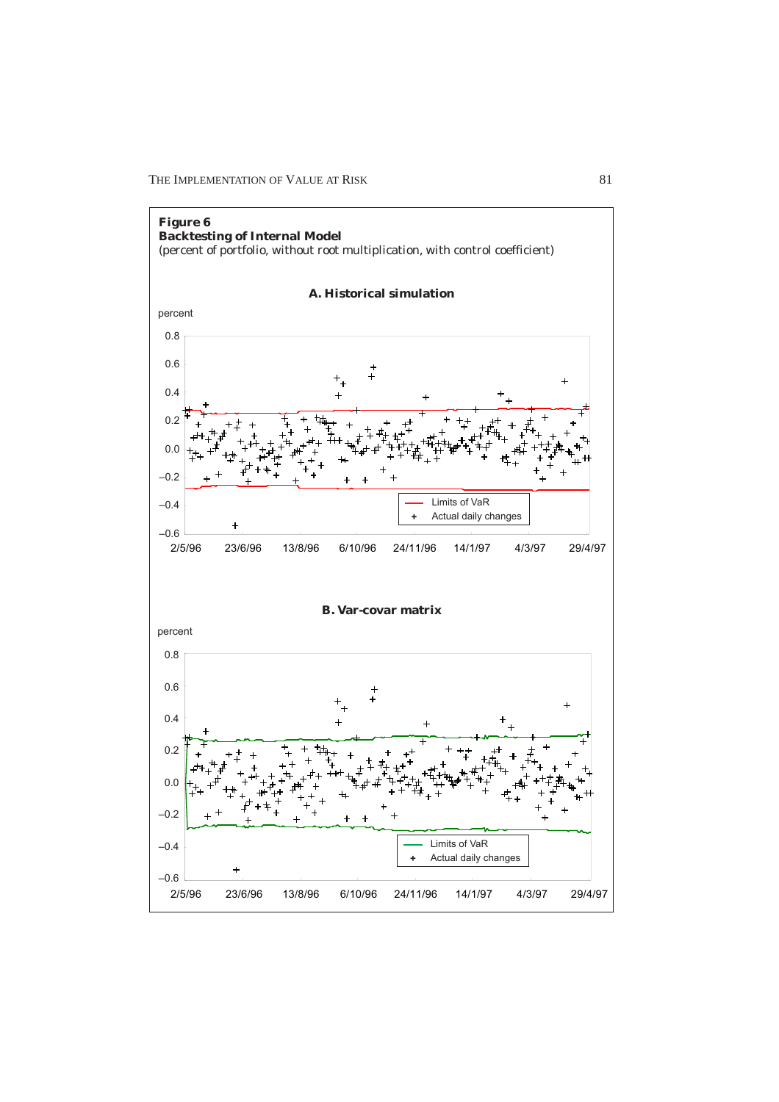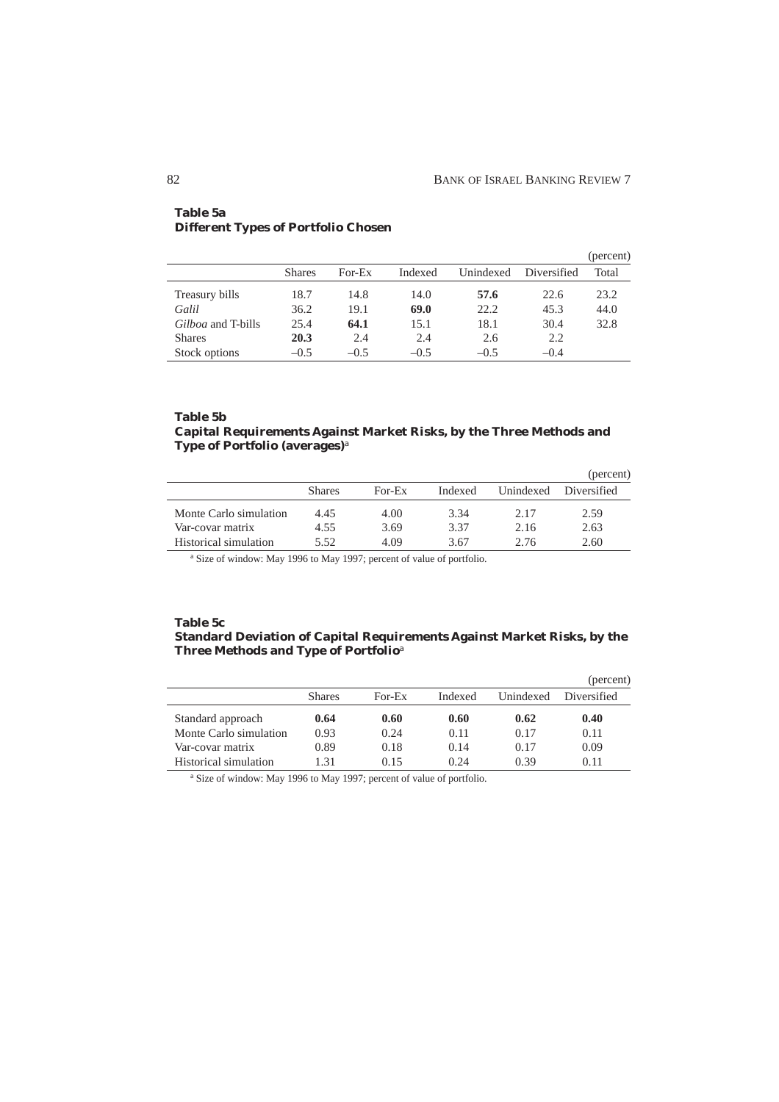|                           |               |        |         |           |             | (percent) |
|---------------------------|---------------|--------|---------|-----------|-------------|-----------|
|                           | <b>Shares</b> | For-Ex | Indexed | Unindexed | Diversified | Total     |
| Treasury bills            | 18.7          | 14.8   | 14.0    | 57.6      | 22.6        | 23.2      |
| Galil                     | 36.2          | 19.1   | 69.0    | 22.2      | 45.3        | 44.0      |
| <i>Gilboa</i> and T-bills | 25.4          | 64.1   | 15.1    | 18.1      | 30.4        | 32.8      |
| <b>Shares</b>             | 20.3          | 2.4    | 2.4     | 2.6       | 2.2         |           |
| Stock options             | $-0.5$        | $-0.5$ | $-0.5$  | $-0.5$    | $-0.4$      |           |

# **Table 5a Different Types of Portfolio Chosen**

# **Table 5b Capital Requirements Against Market Risks, by the Three Methods and Type of Portfolio (averages)**<sup>a</sup>

|                        |               |        |         |           | (percent)   |
|------------------------|---------------|--------|---------|-----------|-------------|
|                        | <b>Shares</b> | For-Ex | Indexed | Unindexed | Diversified |
| Monte Carlo simulation | 4.45          | 4.00   | 3.34    | 2.17      | 2.59        |
| Var-covar matrix       | 4.55          | 3.69   | 3.37    | 2.16      | 2.63        |
| Historical simulation  | 5.52          | 4.09   | 3.67    | 2.76      | 2.60        |

<sup>a</sup> Size of window: May 1996 to May 1997; percent of value of portfolio.

# **Table 5c Standard Deviation of Capital Requirements Against Market Risks, by the Three Methods and Type of Portfolio**<sup>a</sup>

|                        |               |        |         |           | (percent)   |
|------------------------|---------------|--------|---------|-----------|-------------|
|                        | <b>Shares</b> | For-Ex | Indexed | Unindexed | Diversified |
| Standard approach      | 0.64          | 0.60   | 0.60    | 0.62      | 0.40        |
| Monte Carlo simulation | 0.93          | 0.24   | 0.11    | 0.17      | 0.11        |
| Var-covar matrix       | 0.89          | 0.18   | 0.14    | 0.17      | 0.09        |
| Historical simulation  | 1.31          | 0.15   | 0.24    | 0.39      | 0.11        |

<sup>a</sup> Size of window: May 1996 to May 1997; percent of value of portfolio.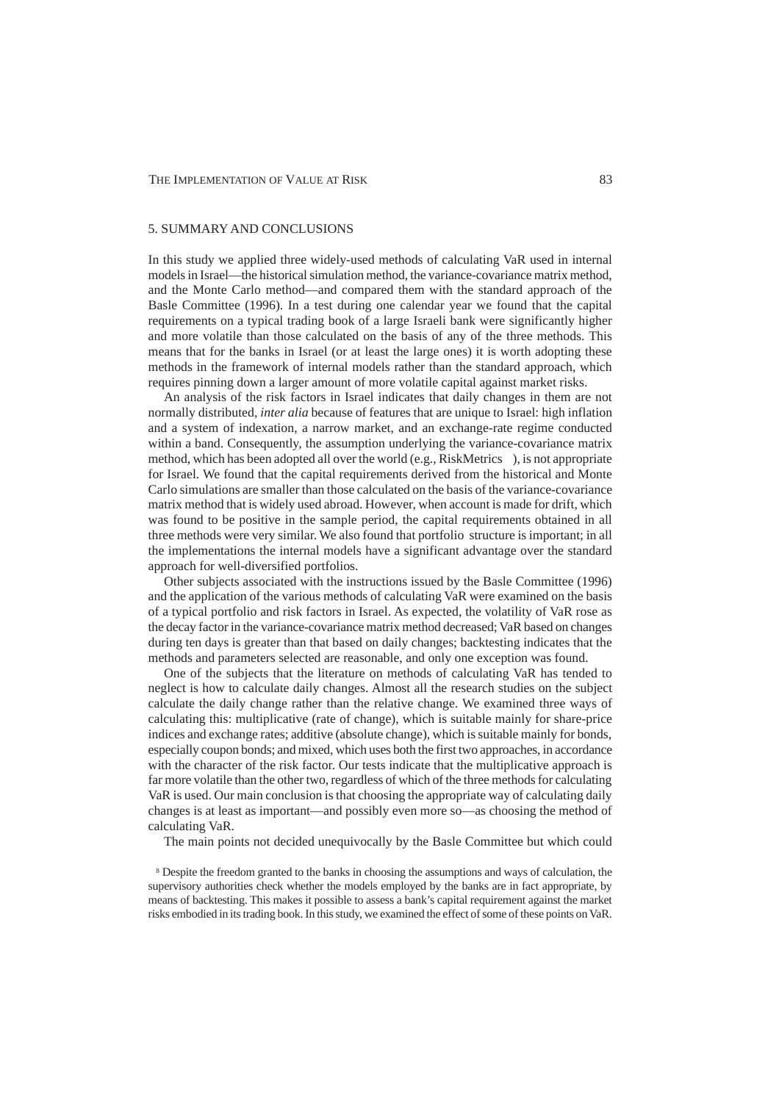# 5. SUMMARY AND CONCLUSIONS

In this study we applied three widely-used methods of calculating VaR used in internal models in Israel—the historical simulation method, the variance-covariance matrix method, and the Monte Carlo method—and compared them with the standard approach of the Basle Committee (1996). In a test during one calendar year we found that the capital requirements on a typical trading book of a large Israeli bank were significantly higher and more volatile than those calculated on the basis of any of the three methods. This means that for the banks in Israel (or at least the large ones) it is worth adopting these methods in the framework of internal models rather than the standard approach, which requires pinning down a larger amount of more volatile capital against market risks.

An analysis of the risk factors in Israel indicates that daily changes in them are not normally distributed, *inter alia* because of features that are unique to Israel: high inflation and a system of indexation, a narrow market, and an exchange-rate regime conducted within a band. Consequently, the assumption underlying the variance-covariance matrix method, which has been adopted all over the world (e.g., RiskMetrics<sup> $\text{TM}$ </sup>), is not appropriate for Israel. We found that the capital requirements derived from the historical and Monte Carlo simulations are smaller than those calculated on the basis of the variance-covariance matrix method that is widely used abroad. However, when account is made for drift, which was found to be positive in the sample period, the capital requirements obtained in all three methods were very similar. We also found that portfolio structure is important; in all the implementations the internal models have a significant advantage over the standard approach for well-diversified portfolios.

Other subjects associated with the instructions issued by the Basle Committee (1996) and the application of the various methods of calculating VaR were examined on the basis of a typical portfolio and risk factors in Israel. As expected, the volatility of VaR rose as the decay factor in the variance-covariance matrix method decreased; VaR based on changes during ten days is greater than that based on daily changes; backtesting indicates that the methods and parameters selected are reasonable, and only one exception was found.

One of the subjects that the literature on methods of calculating VaR has tended to neglect is how to calculate daily changes. Almost all the research studies on the subject calculate the daily change rather than the relative change. We examined three ways of calculating this: multiplicative (rate of change), which is suitable mainly for share-price indices and exchange rates; additive (absolute change), which is suitable mainly for bonds, especially coupon bonds; and mixed, which uses both the first two approaches, in accordance with the character of the risk factor. Our tests indicate that the multiplicative approach is far more volatile than the other two, regardless of which of the three methods for calculating VaR is used. Our main conclusion is that choosing the appropriate way of calculating daily changes is at least as important—and possibly even more so—as choosing the method of calculating VaR.

The main points not decided unequivocally by the Basle Committee but which could

8 Despite the freedom granted to the banks in choosing the assumptions and ways of calculation, the supervisory authorities check whether the models employed by the banks are in fact appropriate, by means of backtesting. This makes it possible to assess a bank's capital requirement against the market risks embodied in its trading book. In this study, we examined the effect of some of these points on VaR.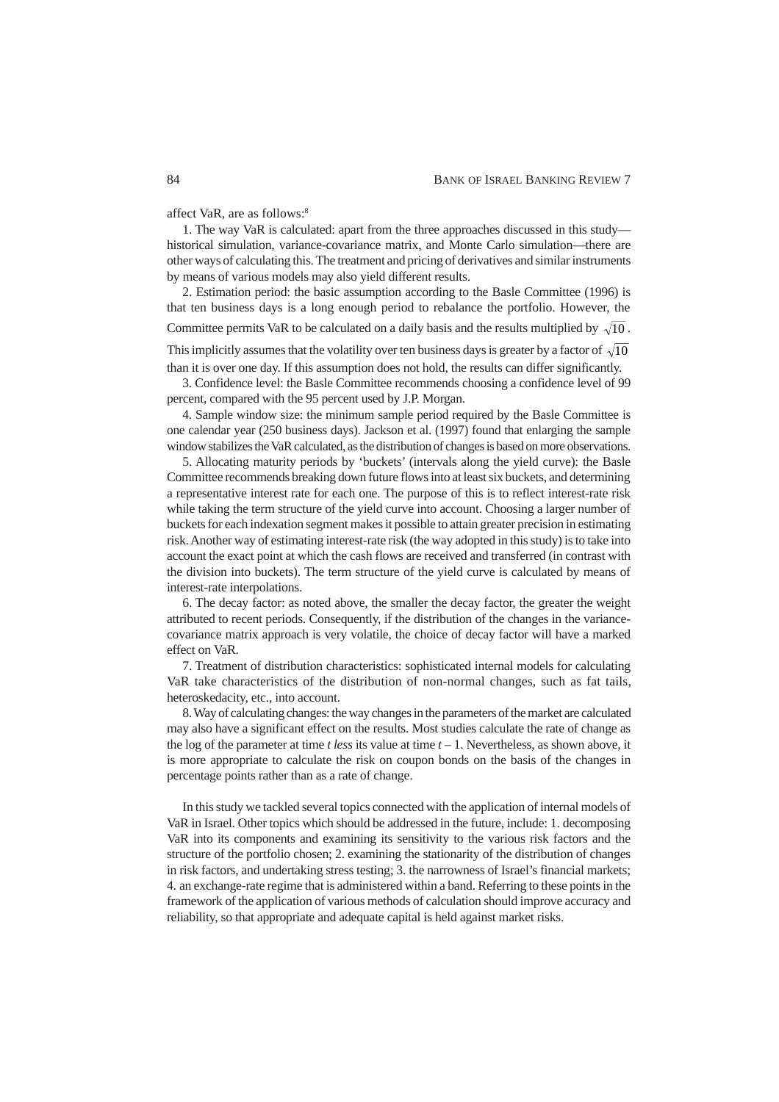affect VaR, are as follows:8

1. The way VaR is calculated: apart from the three approaches discussed in this study historical simulation, variance-covariance matrix, and Monte Carlo simulation—there are other ways of calculating this. The treatment and pricing of derivatives and similar instruments by means of various models may also yield different results.

2. Estimation period: the basic assumption according to the Basle Committee (1996) is that ten business days is a long enough period to rebalance the portfolio. However, the Committee permits VaR to be calculated on a daily basis and the results multiplied by  $\sqrt{10}$ .

This implicitly assumes that the volatility over ten business days is greater by a factor of  $\sqrt{10}$ than it is over one day. If this assumption does not hold, the results can differ significantly.

3. Confidence level: the Basle Committee recommends choosing a confidence level of 99 percent, compared with the 95 percent used by J.P. Morgan.

4. Sample window size: the minimum sample period required by the Basle Committee is one calendar year (250 business days). Jackson et al. (1997) found that enlarging the sample window stabilizes the VaR calculated, as the distribution of changes is based on more observations.

5. Allocating maturity periods by 'buckets' (intervals along the yield curve): the Basle Committee recommends breaking down future flows into at least six buckets, and determining a representative interest rate for each one. The purpose of this is to reflect interest-rate risk while taking the term structure of the yield curve into account. Choosing a larger number of buckets for each indexation segment makes it possible to attain greater precision in estimating risk. Another way of estimating interest-rate risk (the way adopted in this study) is to take into account the exact point at which the cash flows are received and transferred (in contrast with the division into buckets). The term structure of the yield curve is calculated by means of interest-rate interpolations.

6. The decay factor: as noted above, the smaller the decay factor, the greater the weight attributed to recent periods. Consequently, if the distribution of the changes in the variancecovariance matrix approach is very volatile, the choice of decay factor will have a marked effect on VaR.

7. Treatment of distribution characteristics: sophisticated internal models for calculating VaR take characteristics of the distribution of non-normal changes, such as fat tails, heteroskedacity, etc., into account.

8. Way of calculating changes: the way changes in the parameters of the market are calculated may also have a significant effect on the results. Most studies calculate the rate of change as the log of the parameter at time *t less* its value at time *t* – 1. Nevertheless, as shown above, it is more appropriate to calculate the risk on coupon bonds on the basis of the changes in percentage points rather than as a rate of change.

In this study we tackled several topics connected with the application of internal models of VaR in Israel. Other topics which should be addressed in the future, include: 1. decomposing VaR into its components and examining its sensitivity to the various risk factors and the structure of the portfolio chosen; 2. examining the stationarity of the distribution of changes in risk factors, and undertaking stress testing; 3. the narrowness of Israel's financial markets; 4. an exchange-rate regime that is administered within a band. Referring to these points in the framework of the application of various methods of calculation should improve accuracy and reliability, so that appropriate and adequate capital is held against market risks.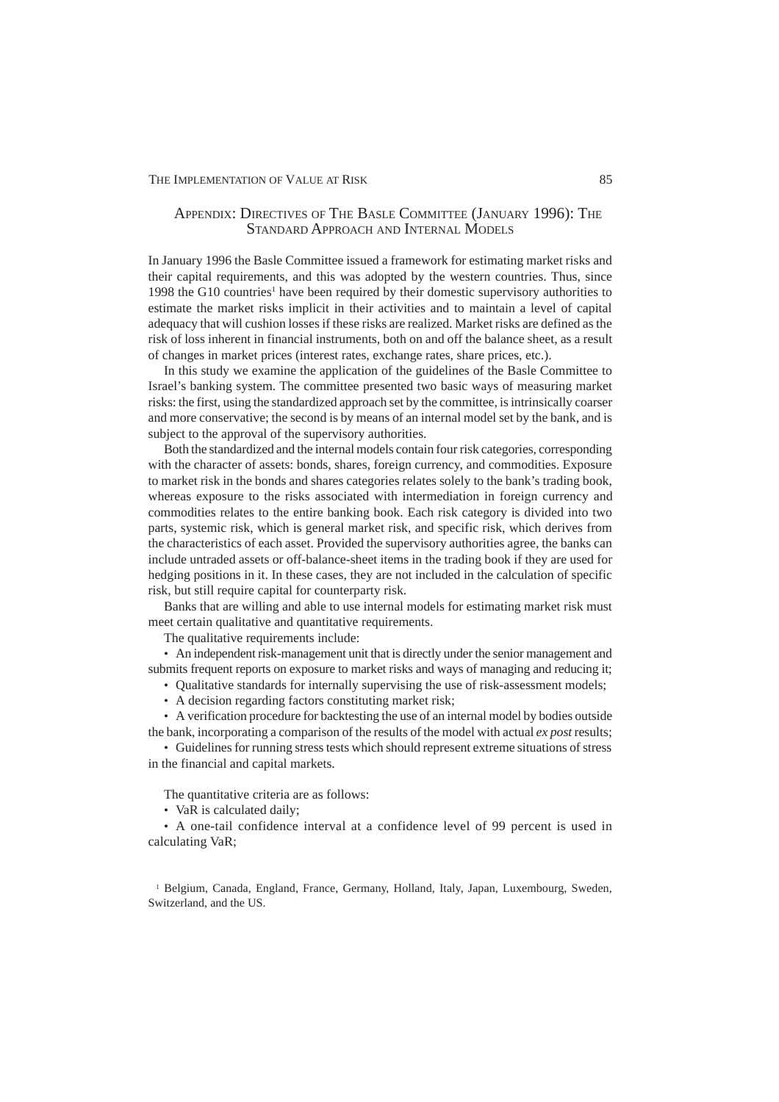# APPENDIX: DIRECTIVES OF THE BASLE COMMITTEE (JANUARY 1996): THE STANDARD APPROACH AND INTERNAL MODELS

In January 1996 the Basle Committee issued a framework for estimating market risks and their capital requirements, and this was adopted by the western countries. Thus, since 1998 the G10 countries<sup>1</sup> have been required by their domestic supervisory authorities to estimate the market risks implicit in their activities and to maintain a level of capital adequacy that will cushion losses if these risks are realized. Market risks are defined as the risk of loss inherent in financial instruments, both on and off the balance sheet, as a result of changes in market prices (interest rates, exchange rates, share prices, etc.).

In this study we examine the application of the guidelines of the Basle Committee to Israel's banking system. The committee presented two basic ways of measuring market risks: the first, using the standardized approach set by the committee, is intrinsically coarser and more conservative; the second is by means of an internal model set by the bank, and is subject to the approval of the supervisory authorities.

Both the standardized and the internal models contain four risk categories, corresponding with the character of assets: bonds, shares, foreign currency, and commodities. Exposure to market risk in the bonds and shares categories relates solely to the bank's trading book, whereas exposure to the risks associated with intermediation in foreign currency and commodities relates to the entire banking book. Each risk category is divided into two parts, systemic risk, which is general market risk, and specific risk, which derives from the characteristics of each asset. Provided the supervisory authorities agree, the banks can include untraded assets or off-balance-sheet items in the trading book if they are used for hedging positions in it. In these cases, they are not included in the calculation of specific risk, but still require capital for counterparty risk.

Banks that are willing and able to use internal models for estimating market risk must meet certain qualitative and quantitative requirements.

The qualitative requirements include:

• An independent risk-management unit that is directly under the senior management and submits frequent reports on exposure to market risks and ways of managing and reducing it;

- Qualitative standards for internally supervising the use of risk-assessment models;
- A decision regarding factors constituting market risk;

• A verification procedure for backtesting the use of an internal model by bodies outside the bank, incorporating a comparison of the results of the model with actual *ex post* results;

• Guidelines for running stress tests which should represent extreme situations of stress in the financial and capital markets.

The quantitative criteria are as follows:

• VaR is calculated daily;

• A one-tail confidence interval at a confidence level of 99 percent is used in calculating VaR;

1 Belgium, Canada, England, France, Germany, Holland, Italy, Japan, Luxembourg, Sweden, Switzerland, and the US.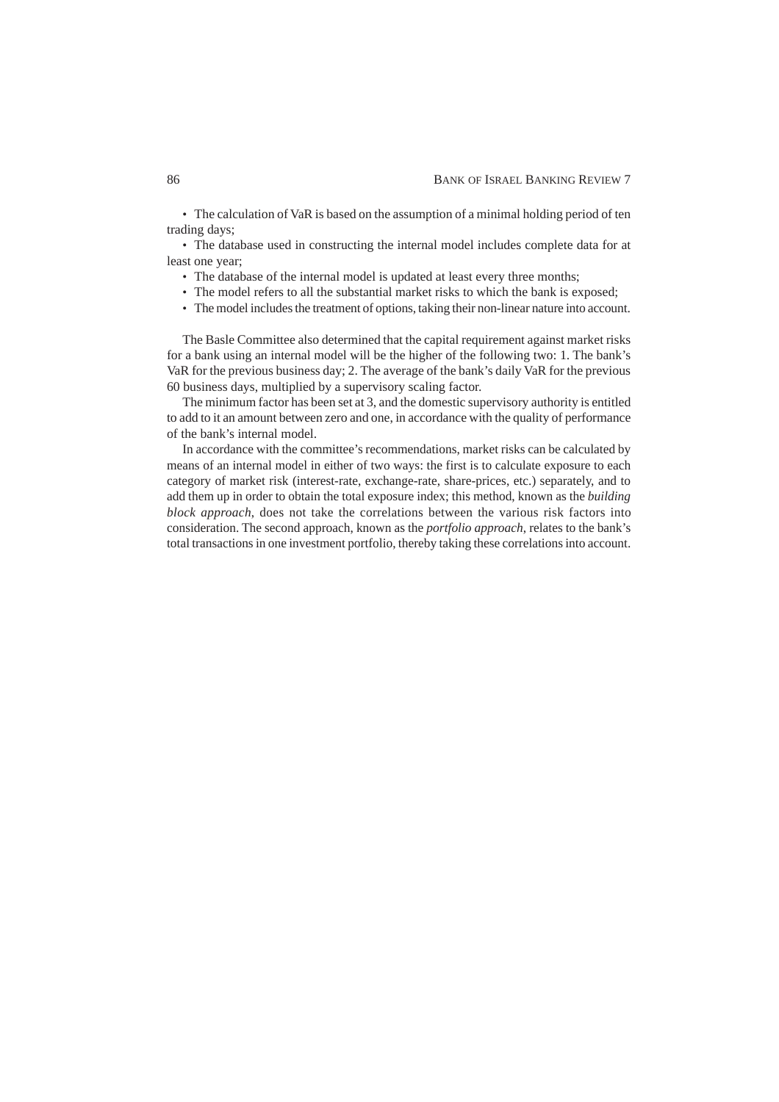• The calculation of VaR is based on the assumption of a minimal holding period of ten trading days;

• The database used in constructing the internal model includes complete data for at least one year;

- The database of the internal model is updated at least every three months;
- The model refers to all the substantial market risks to which the bank is exposed;
- The model includes the treatment of options, taking their non-linear nature into account.

The Basle Committee also determined that the capital requirement against market risks for a bank using an internal model will be the higher of the following two: 1. The bank's VaR for the previous business day; 2. The average of the bank's daily VaR for the previous 60 business days, multiplied by a supervisory scaling factor.

The minimum factor has been set at 3, and the domestic supervisory authority is entitled to add to it an amount between zero and one, in accordance with the quality of performance of the bank's internal model.

In accordance with the committee's recommendations, market risks can be calculated by means of an internal model in either of two ways: the first is to calculate exposure to each category of market risk (interest-rate, exchange-rate, share-prices, etc.) separately, and to add them up in order to obtain the total exposure index; this method, known as the *building block approach*, does not take the correlations between the various risk factors into consideration. The second approach, known as the *portfolio approach*, relates to the bank's total transactions in one investment portfolio, thereby taking these correlations into account.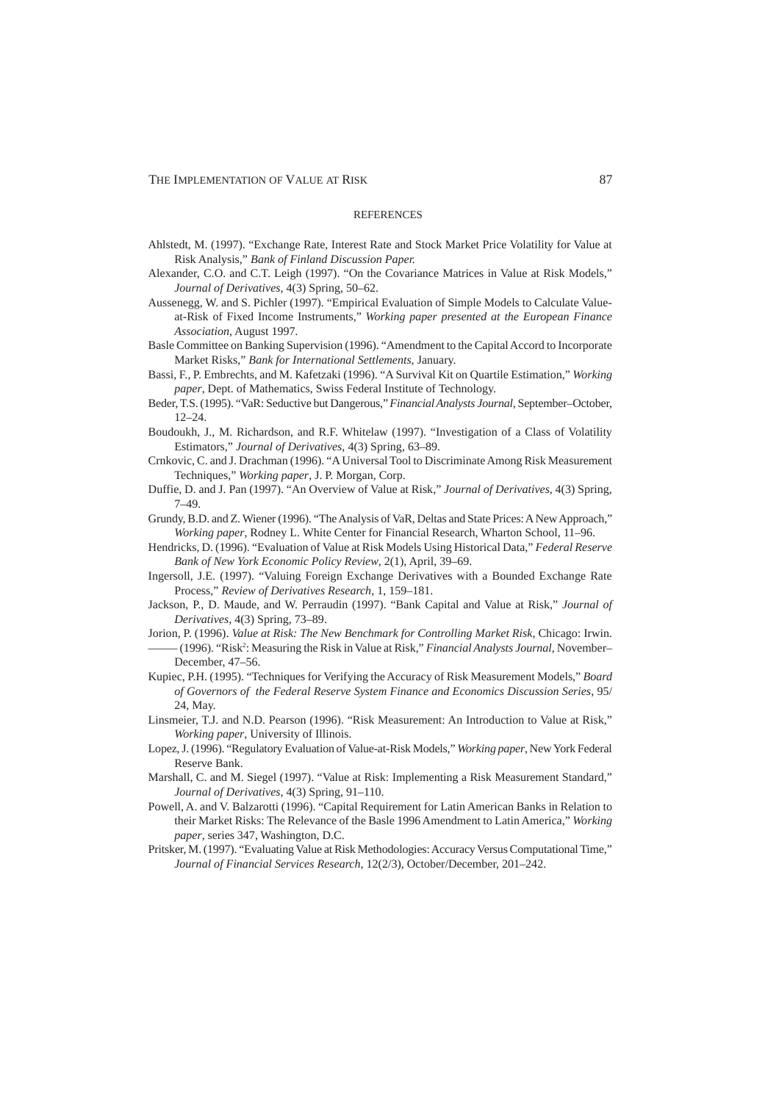#### **REFERENCES**

- Ahlstedt, M. (1997). "Exchange Rate, Interest Rate and Stock Market Price Volatility for Value at Risk Analysis," *Bank of Finland Discussion Paper.*
- Alexander, C.O. and C.T. Leigh (1997). "On the Covariance Matrices in Value at Risk Models," *Journal of Derivatives*, 4(3) Spring, 50–62.
- Aussenegg, W. and S. Pichler (1997). "Empirical Evaluation of Simple Models to Calculate Valueat-Risk of Fixed Income Instruments," *Working paper presented at the European Finance Association*, August 1997*.*
- Basle Committee on Banking Supervision (1996). "Amendment to the Capital Accord to Incorporate Market Risks," *Bank for International Settlements*, January.
- Bassi, F., P. Embrechts, and M. Kafetzaki (1996). "A Survival Kit on Quartile Estimation," *Working paper*, Dept. of Mathematics, Swiss Federal Institute of Technology.
- Beder, T.S. (1995). "VaR: Seductive but Dangerous," *Financial Analysts Journal*, September–October, 12–24.
- Boudoukh, J., M. Richardson, and R.F. Whitelaw (1997). "Investigation of a Class of Volatility Estimators," *Journal of Derivatives*, 4(3) Spring, 63–89.
- Crnkovic, C. and J. Drachman (1996). "A Universal Tool to Discriminate Among Risk Measurement Techniques," *Working paper*, J. P. Morgan, Corp.
- Duffie, D. and J. Pan (1997). "An Overview of Value at Risk," *Journal of Derivatives*, 4(3) Spring, 7–49.
- Grundy, B.D. and Z. Wiener (1996). "The Analysis of VaR, Deltas and State Prices: A New Approach," *Working paper*, Rodney L. White Center for Financial Research, Wharton School, 11–96.
- Hendricks, D. (1996). "Evaluation of Value at Risk Models Using Historical Data," *Federal Reserve Bank of New York Economic Policy Review*, 2(1), April, 39–69.
- Ingersoll, J.E. (1997). "Valuing Foreign Exchange Derivatives with a Bounded Exchange Rate Process," *Review of Derivatives Research*, 1, 159–181.
- Jackson, P., D. Maude, and W. Perraudin (1997). "Bank Capital and Value at Risk," *Journal of Derivatives*, 4(3) Spring, 73–89.
- Jorion, P. (1996). *Value at Risk: The New Benchmark for Controlling Market Risk*, Chicago: Irwin.
- (1996). "Risk<sup>2</sup>: Measuring the Risk in Value at Risk," *Financial Analysts Journal*, November– December, 47–56.
- Kupiec, P.H. (1995). "Techniques for Verifying the Accuracy of Risk Measurement Models," *Board of Governors of the Federal Reserve System Finance and Economics Discussion Series*, 95/ 24, May.
- Linsmeier, T.J. and N.D. Pearson (1996). "Risk Measurement: An Introduction to Value at Risk," *Working paper*, University of Illinois.
- Lopez, J. (1996). "Regulatory Evaluation of Value-at-Risk Models," *Working paper*, New York Federal Reserve Bank.
- Marshall, C. and M. Siegel (1997). "Value at Risk: Implementing a Risk Measurement Standard," *Journal of Derivatives*, 4(3) Spring, 91–110.
- Powell, A. and V. Balzarotti (1996). "Capital Requirement for Latin American Banks in Relation to their Market Risks: The Relevance of the Basle 1996 Amendment to Latin America," *Working paper*, series 347, Washington, D.C.
- Pritsker, M. (1997). "Evaluating Value at Risk Methodologies: Accuracy Versus Computational Time," *Journal of Financial Services Research*, 12(2/3), October/December, 201–242.